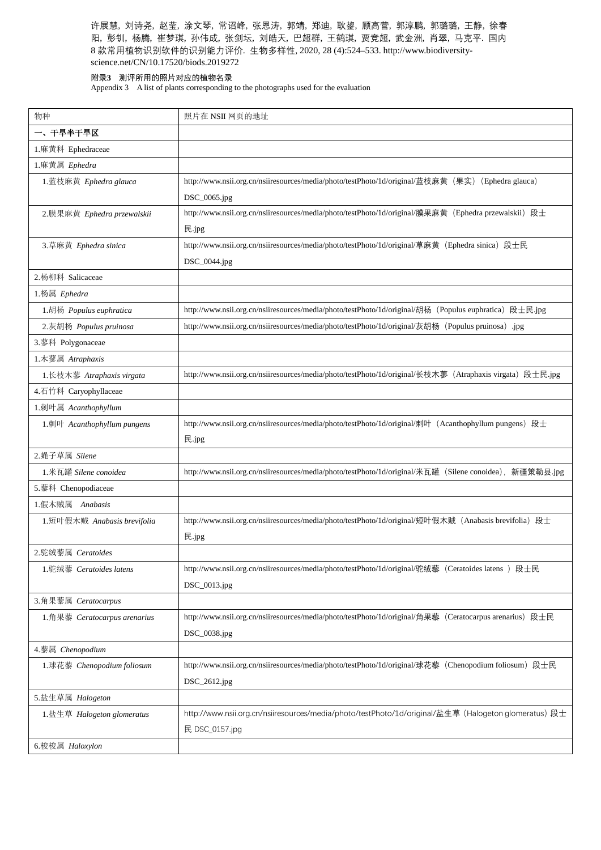## 附录**3** 测评所用的照片对应的植物名录

Appendix 3 A list of plants corresponding to the photographs used for the evaluation

| 物种                           | 照片在 NSII 网页的地址                                                                                           |
|------------------------------|----------------------------------------------------------------------------------------------------------|
| 一、干旱半干旱区                     |                                                                                                          |
| 1.麻黄科 Ephedraceae            |                                                                                                          |
| 1.麻黄属 Ephedra                |                                                                                                          |
| 1. 蓝枝麻黄 Ephedra glauca       | http://www.nsii.org.cn/nsiiresources/media/photo/testPhoto/1d/original/蓝枝麻黄 (果实) (Ephedra glauca)        |
|                              | DSC_0065.jpg                                                                                             |
| 2.膜果麻黄 Ephedra przewalskii   | http://www.nsii.org.cn/nsiiresources/media/photo/testPhoto/1d/original/膜果麻黄 (Ephedra przewalskii) 段士     |
|                              | 民.jpg                                                                                                    |
| 3.草麻黄 Ephedra sinica         | http://www.nsii.org.cn/nsiiresources/media/photo/testPhoto/1d/original/草麻黄 (Ephedra sinica) 段士民          |
|                              | DSC_0044.jpg                                                                                             |
| 2.杨柳科 Salicaceae             |                                                                                                          |
| 1.杨属 Ephedra                 |                                                                                                          |
| 1. 胡杨 Populus euphratica     | http://www.nsii.org.cn/nsiiresources/media/photo/testPhoto/1d/original/胡杨 (Populus euphratica) 段士民.jpg   |
| 2.灰胡杨 Populus pruinosa       | http://www.nsii.org.cn/nsiiresources/media/photo/testPhoto/1d/original/灰胡杨 (Populus pruinosa) .jpg       |
| 3.蓼科 Polygonaceae            |                                                                                                          |
| 1.木蓼属 Atraphaxis             |                                                                                                          |
| 1.长枝木蓼 Atraphaxis virgata    | http://www.nsii.org.cn/nsiiresources/media/photo/testPhoto/1d/original/长枝木蓼 (Atraphaxis virgata) 段士民.jpg |
| 4.石竹科 Caryophyllaceae        |                                                                                                          |
| 1.刺叶属 Acanthophyllum         |                                                                                                          |
| 1.刺叶 Acanthophyllum pungens  | http://www.nsii.org.cn/nsiiresources/media/photo/testPhoto/1d/original/刺叶 (Acanthophyllum pungens) 段士    |
|                              | 民.jpg                                                                                                    |
| 2.蝇子草属 Silene                |                                                                                                          |
| 1.米瓦罐 Silene conoidea        | http://www.nsii.org.cn/nsiiresources/media/photo/testPhoto/1d/original/米瓦罐 (Silene conoidea), 新疆策勒县.jpg  |
| 5.藜科 Chenopodiaceae          |                                                                                                          |
| 1.假木贼属 Anabasis              |                                                                                                          |
| 1.短叶假木贼 Anabasis brevifolia  | http://www.nsii.org.cn/nsiiresources/media/photo/testPhoto/1d/original/短叶假木贼 (Anabasis brevifolia) 段士    |
|                              | 民.jpg                                                                                                    |
| 2.驼绒藜属 Ceratoides            |                                                                                                          |
| 1.驼绒藜 Ceratoides latens      | http://www.nsii.org.cn/nsiiresources/media/photo/testPhoto/1d/original/驼绒藜 (Ceratoides latens) 段士民       |
|                              | $DSC_0013.jpg$                                                                                           |
| 3.角果藜属 Ceratocarpus          |                                                                                                          |
| 1.角果藜 Ceratocarpus arenarius | http://www.nsii.org.cn/nsiiresources/media/photo/testPhoto/1d/original/角果藜 (Ceratocarpus arenarius) 段士民  |
|                              | DSC_0038.jpg                                                                                             |
| 4. 藜属 Chenopodium            |                                                                                                          |
| 1.球花藜 Chenopodium foliosum   | http://www.nsii.org.cn/nsiiresources/media/photo/testPhoto/1d/original/球花藜 (Chenopodium foliosum) 段士民    |
|                              | DSC_2612.jpg                                                                                             |
|                              |                                                                                                          |
| 5.盐生草属 Halogeton             |                                                                                                          |
| 1.盐生草 Halogeton glomeratus   | http://www.nsii.org.cn/nsiiresources/media/photo/testPhoto/1d/original/盐生草 (Halogeton glomeratus) 段士     |
|                              | 民 DSC_0157.jpg                                                                                           |
| 6.梭梭属 Haloxylon              |                                                                                                          |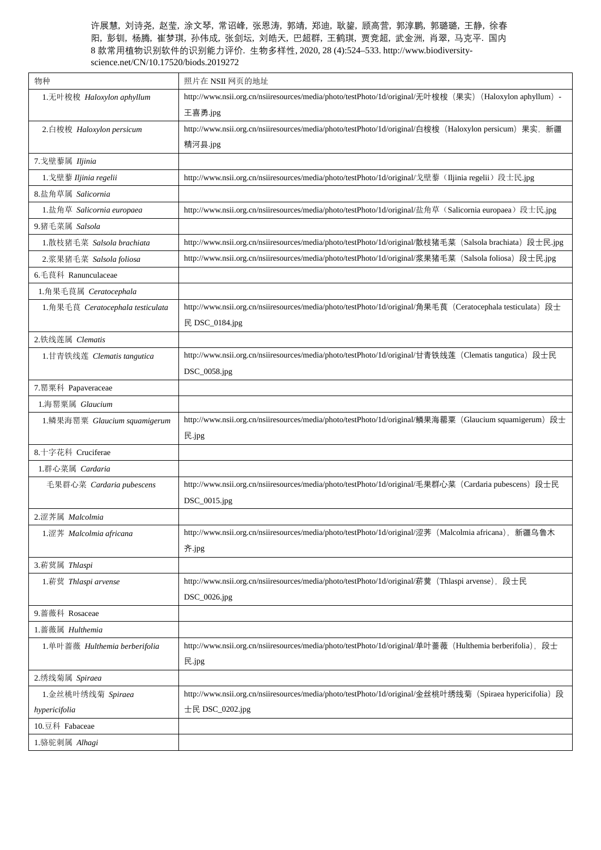| 物种                               | 照片在 NSII 网页的地址                                                                                           |
|----------------------------------|----------------------------------------------------------------------------------------------------------|
| 1.无叶梭梭 Haloxylon aphyllum        | http://www.nsii.org.cn/nsiiresources/media/photo/testPhoto/1d/original/无叶梭梭 (果实) (Haloxylon aphyllum) -  |
|                                  | 王喜勇.jpg                                                                                                  |
| 2.白梭梭 Haloxylon persicum         | http://www.nsii.org.cn/nsiiresources/media/photo/testPhoto/1d/original/白梭梭 (Haloxylon persicum) 果实, 新疆   |
|                                  | 精河县.jpg                                                                                                  |
| 7. 戈壁藜属 Iljinia                  |                                                                                                          |
| 1. 戈壁藜 Iljinia regelii           | http://www.nsii.org.cn/nsiiresources/media/photo/testPhoto/1d/original/戈壁藜(IJjinia regelii)段士民.jpg       |
| 8.盐角草属 Salicornia                |                                                                                                          |
| 1.盐角草 Salicornia europaea        | http://www.nsii.org.cn/nsiiresources/media/photo/testPhoto/1d/original/盐角草 (Salicornia europaea)段士民.jpg  |
| 9.猪毛菜属 Salsola                   |                                                                                                          |
| 1.散枝猪毛菜 Salsola brachiata        | http://www.nsii.org.cn/nsiiresources/media/photo/testPhoto/1d/original/散枝猪毛菜 (Salsola brachiata) 段士民.jpg |
| 2.浆果猪毛菜 Salsola foliosa          | http://www.nsii.org.cn/nsiiresources/media/photo/testPhoto/1d/original/浆果猪毛菜 (Salsola foliosa) 段士民.jpg   |
| 6. 毛茛科 Ranunculaceae             |                                                                                                          |
| 1.角果毛茛属 Ceratocephala            |                                                                                                          |
| 1.角果毛茛 Ceratocephala testiculata | http://www.nsii.org.cn/nsiiresources/media/photo/testPhoto/1d/original/角果毛茛(Ceratocephala testiculata)段士 |
|                                  | 民 DSC_0184.jpg                                                                                           |
| 2.铁线莲属 Clematis                  |                                                                                                          |
| 1.甘青铁线莲 Clematis tangutica       | http://www.nsii.org.cn/nsiiresources/media/photo/testPhoto/1d/original/甘青铁线莲(Clematis tangutica)段士民      |
|                                  | DSC_0058.jpg                                                                                             |
| 7. 罂粟科 Papaveraceae              |                                                                                                          |
| 1. 海罂粟属 Glaucium                 |                                                                                                          |
| 1.鳞果海罂粟 Glaucium squamigerum     | http://www.nsii.org.cn/nsiiresources/media/photo/testPhoto/1d/original/鳞果海罂粟 (Glaucium squamigerum) 段士   |
|                                  | 民.jpg                                                                                                    |
| 8.十字花科 Cruciferae                |                                                                                                          |
| 1.群心菜属 Cardaria                  |                                                                                                          |
| 毛果群心菜 Cardaria pubescens         | http://www.nsii.org.cn/nsiiresources/media/photo/testPhoto/1d/original/毛果群心菜 (Cardaria pubescens) 段士民    |
|                                  | DSC_0015.jpg                                                                                             |
| 2.涩荠属 Malcolmia                  |                                                                                                          |
| 1.涩荠 Malcolmia africana          | http://www.nsii.org.cn/nsiiresources/media/photo/testPhoto/1d/original/涩荠 (Malcolmia africana), 新疆乌鲁木    |
|                                  | 齐.jpg                                                                                                    |
| 3. 菥蓂属 Thlaspi                   |                                                                                                          |
| 1. 菥蓂 Thlaspi arvense            | http://www.nsii.org.cn/nsiiresources/media/photo/testPhoto/1d/original/菥蓂 (Thlaspi arvense), 段士民         |
|                                  | DSC_0026.jpg                                                                                             |
| 9. 蔷薇科 Rosaceae                  |                                                                                                          |
| 1. 蔷薇属 Hulthemia                 |                                                                                                          |
| 1. 单叶蔷薇 Hulthemia berberifolia   | http://www.nsii.org.cn/nsiiresources/media/photo/testPhoto/1d/original/单叶蔷薇 (Hulthemia berberifolia), 段士 |
|                                  | 民.jpg                                                                                                    |
| 2.绣线菊属 Spiraea                   |                                                                                                          |
| 1.金丝桃叶绣线菊 Spiraea                | http://www.nsii.org.cn/nsiiresources/media/photo/testPhoto/1d/original/金丝桃叶绣线菊 (Spiraea hypericifolia) 段 |
| hypericifolia                    | 士民 $DSC_0202.jpg$                                                                                        |
| 10.豆科 Fabaceae                   |                                                                                                          |
| 1.骆驼刺属 Alhagi                    |                                                                                                          |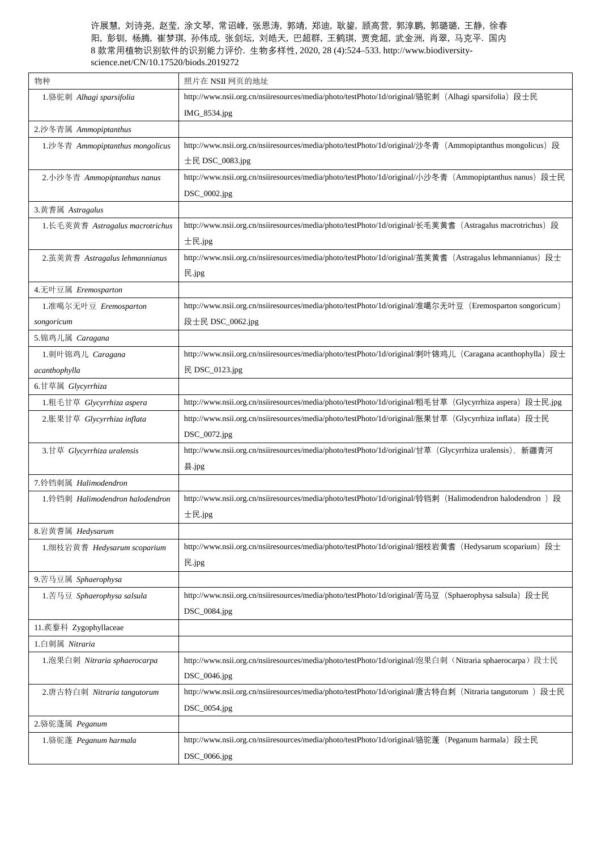| 物种                              | 照片在 NSII 网页的地址                                                                                           |
|---------------------------------|----------------------------------------------------------------------------------------------------------|
| 1.骆驼刺 Alhagi sparsifolia        | http://www.nsii.org.cn/nsiiresources/media/photo/testPhoto/1d/original/骆驼刺 (Alhagi sparsifolia) 段士民      |
|                                 | IMG_8534.jpg                                                                                             |
| 2.沙冬青属 Ammopiptanthus           |                                                                                                          |
| 1.沙冬青 Ammopiptanthus mongolicus | http://www.nsii.org.cn/nsiiresources/media/photo/testPhoto/1d/original/沙冬青 (Ammopiptanthus mongolicus) 段 |
|                                 | 士民 $DSC_0083.jpg$                                                                                        |
| 2.小沙冬青 Ammopiptanthus nanus     | http://www.nsii.org.cn/nsiiresources/media/photo/testPhoto/1d/original/小沙冬青 (Ammopiptanthus nanus) 段士民   |
|                                 | DSC_0002.jpg                                                                                             |
| 3.黄耆属 Astragalus                |                                                                                                          |
| 1.长毛荚黄耆 Astragalus macrotrichus | http://www.nsii.org.cn/nsiiresources/media/photo/testPhoto/1d/original/长毛荚黄耆 (Astragalus macrotrichus) 段 |
|                                 | 士民.jpg                                                                                                   |
| 2. 茧荚黄耆 Astragalus lehmannianus | http://www.nsii.org.cn/nsiiresources/media/photo/testPhoto/1d/original/茧荚黄耆 (Astragalus lehmannianus) 段士 |
|                                 | 民.jpg                                                                                                    |
| 4.无叶豆属 Eremosparton             |                                                                                                          |
| 1.准噶尔无叶豆 Eremosparton           | http://www.nsii.org.cn/nsiiresources/media/photo/testPhoto/1d/original/准噶尔无叶豆 (Eremosparton songoricum)  |
| songoricum                      | 段士民 DSC_0062.jpg                                                                                         |
| 5. 锦鸡儿属 Caragana                |                                                                                                          |
| 1. 刺叶锦鸡儿 Caragana               | http://www.nsii.org.cn/nsiiresources/media/photo/testPhoto/1d/original/刺叶锦鸡儿 (Caragana acanthophylla) 段士 |
| acanthophylla                   | 民 DSC_0123.jpg                                                                                           |
| 6.甘草属 Glycyrrhiza               |                                                                                                          |
| 1.粗毛甘草 Glycyrrhiza aspera       | http://www.nsii.org.cn/nsiiresources/media/photo/testPhoto/1d/original/粗毛甘草 (Glycyrrhiza aspera) 段士民.jpg |
| 2.胀果甘草 Glycyrrhiza inflata      | http://www.nsii.org.cn/nsiiresources/media/photo/testPhoto/1d/original/胀果甘草 (Glycyrrhiza inflata) 段士民    |
|                                 | DSC_0072.jpg                                                                                             |
| 3.甘草 Glycyrrhiza uralensis      | http://www.nsii.org.cn/nsiiresources/media/photo/testPhoto/1d/original/甘草 (Glycyrrhiza uralensis), 新疆青河  |
|                                 | 县.jpg                                                                                                    |
| 7.铃铛刺属 Halimodendron            |                                                                                                          |
| 1.铃铛刺 Halimodendron halodendron | http://www.nsii.org.cn/nsiiresources/media/photo/testPhoto/1d/original/铃铛刺 (Halimodendron halodendron) 段 |
|                                 | 士民.jpg                                                                                                   |
| 8.岩黄耆属 Hedysarum                |                                                                                                          |
| 1. 细枝岩黄耆 Hedysarum scoparium    | http://www.nsii.org.cn/nsiiresources/media/photo/testPhoto/1d/original/细枝岩黄耆 (Hedysarum scoparium) 段士    |
|                                 | 民.jpg                                                                                                    |
| 9.苦马豆属 Sphaerophysa             |                                                                                                          |
| 1.苦马豆 Sphaerophysa salsula      | http://www.nsii.org.cn/nsiiresources/media/photo/testPhoto/1d/original/苦马豆 (Sphaerophysa salsula) 段士民    |
|                                 | DSC_0084.jpg                                                                                             |
| 11.蒺藜科 Zygophyllaceae           |                                                                                                          |
| 1.白刺属 Nitraria                  |                                                                                                          |
| 1.泡果白刺 Nitraria sphaerocarpa    | http://www.nsii.org.cn/nsiiresources/media/photo/testPhoto/1d/original/泡果白刺 (Nitraria sphaerocarpa) 段士民  |
|                                 | DSC_0046.jpg                                                                                             |
| 2.唐古特白刺 Nitraria tangutorum     | http://www.nsii.org.cn/nsiiresources/media/photo/testPhoto/1d/original/唐古特白刺 (Nitraria tangutorum ) 段士民  |
|                                 | DSC_0054.jpg                                                                                             |
| 2.骆驼蓬属 Peganum                  |                                                                                                          |
| 1.骆驼蓬 Peganum harmala           | http://www.nsii.org.cn/nsiiresources/media/photo/testPhoto/1d/original/骆驼蓬 (Peganum harmala) 段士民         |
|                                 | DSC_0066.jpg                                                                                             |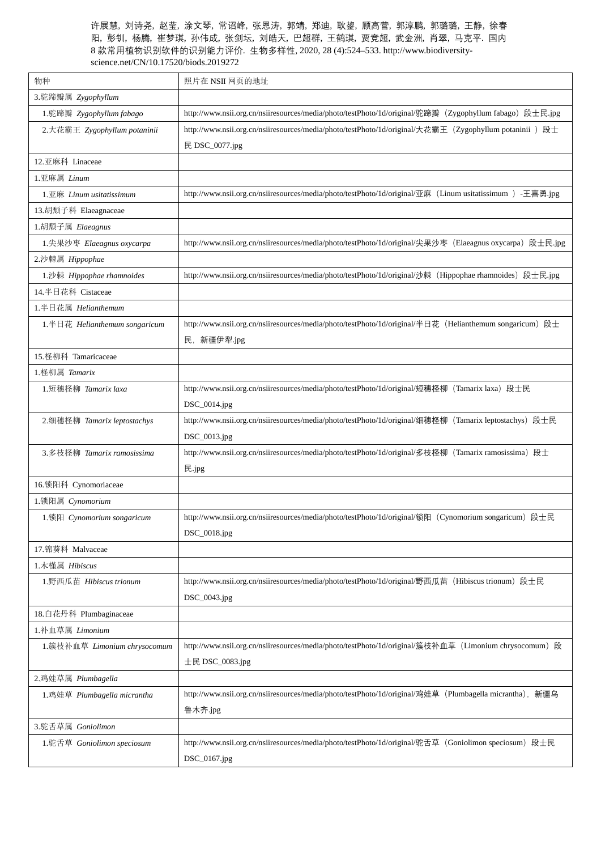| 物种                              | 照片在 NSII 网页的地址                                                                                           |
|---------------------------------|----------------------------------------------------------------------------------------------------------|
| 3.驼蹄瓣属 Zygophyllum              |                                                                                                          |
| 1.驼蹄瓣 Zygophyllum fabago        | http://www.nsii.org.cn/nsiiresources/media/photo/testPhoto/1d/original/驼蹄瓣 (Zygophyllum fabago) 段士民.jpg  |
| 2. 大花霸王 Zygophyllum potaninii   | http://www.nsii.org.cn/nsiiresources/media/photo/testPhoto/1d/original/大花霸王 (Zygophyllum potaninii) 段士   |
|                                 | 民 DSC_0077.jpg                                                                                           |
| 12.亚麻科 Linaceae                 |                                                                                                          |
| 1.亚麻属 Linum                     |                                                                                                          |
| $1.\nPsi$ 麻 Linum usitatissimum | http://www.nsii.org.cn/nsiiresources/media/photo/testPhoto/1d/original/亚麻 (Linum usitatissimum) -王喜勇.jpg |
| 13.胡颓子科 Elaeagnaceae            |                                                                                                          |
| 1. 胡颓子属 Elaeagnus               |                                                                                                          |
| 1. 尖果沙枣 Elaeagnus oxycarpa      | http://www.nsii.org.cn/nsiiresources/media/photo/testPhoto/1d/original/尖果沙枣 (Elaeagnus oxycarpa) 段士民.jpg |
| 2.沙棘属 Hippophae                 |                                                                                                          |
| 1.沙棘 Hippophae rhamnoides       | http://www.nsii.org.cn/nsiiresources/media/photo/testPhoto/1d/original/沙棘 (Hippophae rhamnoides) 段士民.jpg |
| 14.半日花科 Cistaceae               |                                                                                                          |
| 1.半日花属 Helianthemum             |                                                                                                          |
| 1.半日花 Helianthemum songaricum   | http://www.nsii.org.cn/nsiiresources/media/photo/testPhoto/1d/original/半日花 (Helianthemum songaricum) 段士  |
|                                 | 民, 新疆伊犁.jpg                                                                                              |
| 15. 柽柳科 Tamaricaceae            |                                                                                                          |
| 1. 柽柳属 Tamarix                  |                                                                                                          |
| 1.短穗柽柳 Tamarix laxa             | http://www.nsii.org.cn/nsiiresources/media/photo/testPhoto/1d/original/短穗柽柳 (Tamarix laxa) 段士民           |
|                                 | DSC_0014.jpg                                                                                             |
| 2. 细穗柽柳 Tamarix leptostachys    | http://www.nsii.org.cn/nsiiresources/media/photo/testPhoto/1d/original/细穗柽柳 (Tamarix leptostachys) 段士民   |
|                                 | DSC_0013.jpg                                                                                             |
| 3.多枝柽柳 Tamarix ramosissima      | http://www.nsii.org.cn/nsiiresources/media/photo/testPhoto/1d/original/多枝柽柳 (Tamarix ramosissima) 段士     |
|                                 | 民.jpg                                                                                                    |
| 16.锁阳科 Cynomoriaceae            |                                                                                                          |
| 1.锁阳属 Cynomorium                |                                                                                                          |
| 1.锁阳 Cynomorium songaricum      | http://www.nsii.org.cn/nsiiresources/media/photo/testPhoto/1d/original/锁阳 (Cynomorium songaricum) 段士民    |
|                                 | DSC_0018.jpg                                                                                             |
| 17. 锦葵科 Malvaceae               |                                                                                                          |
| 1.木槿属 Hibiscus                  |                                                                                                          |
| 1.野西瓜苗 Hibiscus trionum         | http://www.nsii.org.cn/nsiiresources/media/photo/testPhoto/1d/original/野西瓜苗(Hibiscus trionum)段士民         |
|                                 | DSC_0043.jpg                                                                                             |
| 18.白花丹科 Plumbaginaceae          |                                                                                                          |
| 1.补血草属 Limonium                 |                                                                                                          |
| 1.簇枝补血草 Limonium chrysocomum    | http://www.nsii.org.cn/nsiiresources/media/photo/testPhoto/1d/original/簇枝补血草 (Limonium chrysocomum) 段    |
|                                 | 士民 DSC_0083.jpg                                                                                          |
| 2.鸡娃草属 Plumbagella              |                                                                                                          |
| 1.鸡娃草 Plumbagella micrantha     | http://www.nsii.org.cn/nsiiresources/media/photo/testPhoto/1d/original/鸡娃草 (Plumbagella micrantha), 新疆乌  |
|                                 | 鲁木齐.jpg                                                                                                  |
| 3.驼舌草属 Goniolimon               |                                                                                                          |
| 1.驼舌草 Goniolimon speciosum      | http://www.nsii.org.cn/nsiiresources/media/photo/testPhoto/1d/original/驼舌草 (Goniolimon speciosum) 段士民    |
|                                 | DSC_0167.jpg                                                                                             |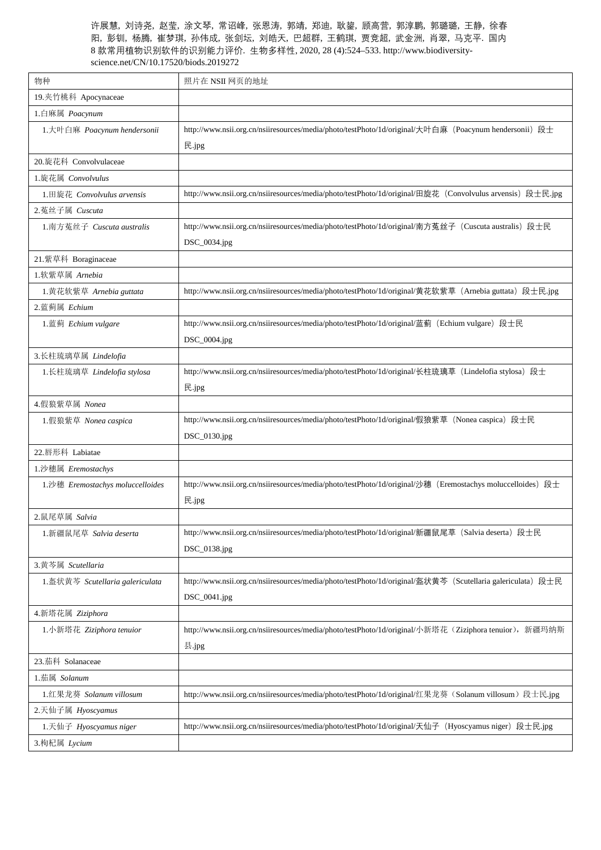| 物种                               | 照片在 NSII 网页的地址                                                                                             |
|----------------------------------|------------------------------------------------------------------------------------------------------------|
| 19.夹竹桃科 Apocynaceae              |                                                                                                            |
| 1.白麻属 Poacynum                   |                                                                                                            |
| 1. 大叶白麻 Poacynum hendersonii     | http://www.nsii.org.cn/nsiiresources/media/photo/testPhoto/1d/original/大叶白麻 (Poacynum hendersonii) 段士      |
|                                  | 民.jpg                                                                                                      |
| 20.旋花科 Convolvulaceae            |                                                                                                            |
| 1. 旋花属 Convolvulus               |                                                                                                            |
| 1.田旋花 Convolvulus arvensis       | http://www.nsii.org.cn/nsiiresources/media/photo/testPhoto/1d/original/田旋花 (Convolvulus arvensis) 段士民.jpg  |
| 2.菟丝子属 Cuscuta                   |                                                                                                            |
| 1.南方菟丝子 Cuscuta australis        | http://www.nsii.org.cn/nsiiresources/media/photo/testPhoto/1d/original/南方菟丝子 (Cuscuta australis) 段士民       |
|                                  | DSC_0034.jpg                                                                                               |
| 21.紫草科 Boraginaceae              |                                                                                                            |
| 1. 软紫草属 Arnebia                  |                                                                                                            |
| 1.黄花软紫草 Arnebia guttata          | http://www.nsii.org.cn/nsiiresources/media/photo/testPhoto/1d/original/黄花软紫草 (Arnebia guttata) 段士民.jpg     |
| 2. 蓝蓟属 Echium                    |                                                                                                            |
| 1.蓝蓟 Echium vulgare              | http://www.nsii.org.cn/nsiiresources/media/photo/testPhoto/1d/original/蓝蓟 (Echium vulgare) 段士民             |
|                                  | DSC_0004.jpg                                                                                               |
| 3.长柱琉璃草属 Lindelofia              |                                                                                                            |
| 1.长柱琉璃草 Lindelofia stylosa       | http://www.nsii.org.cn/nsiiresources/media/photo/testPhoto/1d/original/长柱琉璃草 (Lindelofia stylosa) 段士       |
|                                  | 民.jpg                                                                                                      |
| 4.假狼紫草属 Nonea                    |                                                                                                            |
| 1.假狼紫草 Nonea caspica             | http://www.nsii.org.cn/nsiiresources/media/photo/testPhoto/1d/original/假狼紫草 (Nonea caspica) 段士民            |
|                                  | DSC_0130.jpg                                                                                               |
| 22. 唇形科 Labiatae                 |                                                                                                            |
| 1.沙穗属 Eremostachys               |                                                                                                            |
| 1.沙穗 Eremostachys moluccelloides | http://www.nsii.org.cn/nsiiresources/media/photo/testPhoto/1d/original/沙穗 (Eremostachys moluccelloides) 段士 |
|                                  | 民.jpg                                                                                                      |
| 2.鼠尾草属 Salvia                    |                                                                                                            |
| 1.新疆鼠尾草 Salvia deserta           | http://www.nsii.org.cn/nsiiresources/media/photo/testPhoto/1d/original/新疆鼠尾草 (Salvia deserta) 段士民          |
|                                  | DSC_0138.jpg                                                                                               |
| 3.黄芩属 Scutellaria                |                                                                                                            |
| 1.盔状黄芩 Scutellaria galericulata  | http://www.nsii.org.cn/nsiiresources/media/photo/testPhoto/1d/original/盔状黄芩 (Scutellaria galericulata) 段士民 |
|                                  | DSC_0041.jpg                                                                                               |
| 4.新塔花属 Ziziphora                 |                                                                                                            |
| 1. 小新塔花 Ziziphora tenuior        | http://www.nsii.org.cn/nsiiresources/media/photo/testPhoto/1d/original/小新塔花 (Ziziphora tenuior), 新疆玛纳斯     |
|                                  | 县.jpg                                                                                                      |
| 23.茄科 Solanaceae                 |                                                                                                            |
| 1.茄属 Solanum                     |                                                                                                            |
| 1.红果龙葵 Solanum villosum          | http://www.nsii.org.cn/nsiiresources/media/photo/testPhoto/1d/original/红果龙葵(Solanum villosum)段士民.jpg       |
| 2.天仙子属 Hyoscyamus                |                                                                                                            |
| 1.天仙子 Hyoscyamus niger           | http://www.nsii.org.cn/nsiiresources/media/photo/testPhoto/1d/original/天仙子 (Hyoscyamus niger) 段士民.jpg      |
| 3.枸杞属 Lycium                     |                                                                                                            |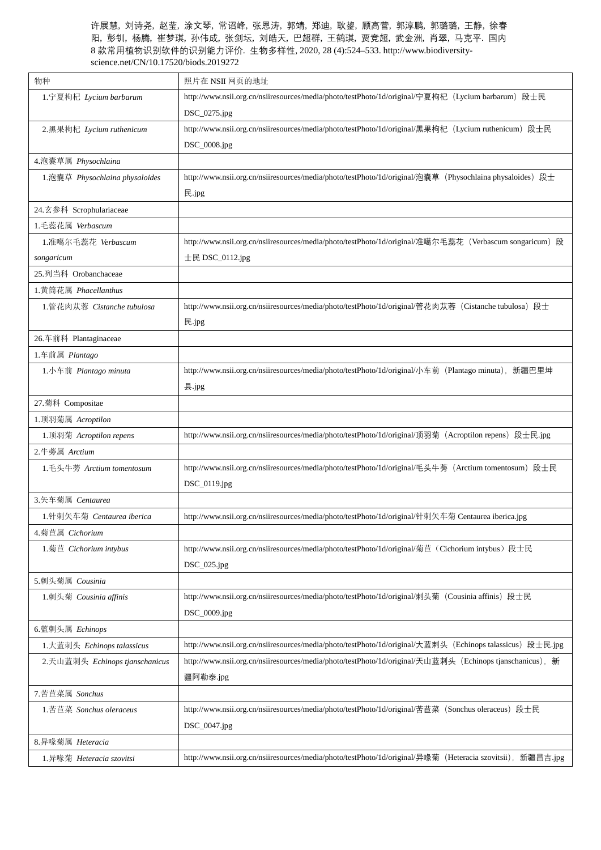| 物种                             | 照片在 NSII 网页的地址                                                                                             |
|--------------------------------|------------------------------------------------------------------------------------------------------------|
| 1.宁夏枸杞 Lycium barbarum         | http://www.nsii.org.cn/nsiiresources/media/photo/testPhoto/1d/original/宁夏枸杞 (Lycium barbarum) 段士民          |
|                                | DSC_0275.jpg                                                                                               |
| 2.黑果枸杞 Lycium ruthenicum       | http://www.nsii.org.cn/nsiiresources/media/photo/testPhoto/1d/original/黑果枸杞 (Lycium ruthenicum) 段士民        |
|                                | DSC_0008.jpg                                                                                               |
| 4.泡囊草属 Physochlaina            |                                                                                                            |
| 1.泡囊草 Physochlaina physaloides | http://www.nsii.org.cn/nsiiresources/media/photo/testPhoto/1d/original/泡囊草 (Physochlaina physaloides) 段士   |
|                                | 民.jpg                                                                                                      |
| 24.玄参科 Scrophulariaceae        |                                                                                                            |
| 1.毛蕊花属 Verbascum               |                                                                                                            |
| 1.准噶尔毛蕊花 Verbascum             | http://www.nsii.org.cn/nsiiresources/media/photo/testPhoto/1d/original/淮噶尔毛蕊花 (Verbascum songaricum) 段     |
| songaricum                     | 士民 DSC_0112.jpg                                                                                            |
| 25.列当科 Orobanchaceae           |                                                                                                            |
| 1.黄筒花属 Phacellanthus           |                                                                                                            |
| 1.管花肉苁蓉 Cistanche tubulosa     | http://www.nsii.org.cn/nsiiresources/media/photo/testPhoto/1d/original/管花肉苁蓉(Cistanche tubulosa)段士         |
|                                | 民.jpg                                                                                                      |
| 26.车前科 Plantaginaceae          |                                                                                                            |
| 1.车前属 Plantago                 |                                                                                                            |
| 1. 小车前 Plantago minuta         | http://www.nsii.org.cn/nsiiresources/media/photo/testPhoto/1d/original/小车前 (Plantago minuta), 新疆巴里坤        |
|                                | 县.jpg                                                                                                      |
| 27.菊科 Compositae               |                                                                                                            |
| 1. 顶羽菊属 Acroptilon             |                                                                                                            |
| 1. 顶羽菊 Acroptilon repens       | http://www.nsii.org.cn/nsiiresources/media/photo/testPhoto/1d/original/顶羽菊 (Acroptilon repens) 段士民.jpg     |
| 2.牛蒡属 Arctium                  |                                                                                                            |
| 1.毛头牛蒡 Arctium tomentosum      | http://www.nsii.org.cn/nsiiresources/media/photo/testPhoto/1d/original/毛头牛蒡(Arctium tomentosum)段士民         |
|                                | DSC_0119.jpg                                                                                               |
| 3.矢车菊属 Centaurea               |                                                                                                            |
| 1.针刺矢车菊 Centaurea iberica      | http://www.nsii.org.cn/nsiiresources/media/photo/testPhoto/1d/original/针刺矢车菊 Centaurea iberica.jpg         |
| 4.菊苣属 Cichorium                |                                                                                                            |
| 1.菊苣 Cichorium intybus         | http://www.nsii.org.cn/nsiiresources/media/photo/testPhoto/1d/original/菊苣 (Cichorium intybus) 段士民          |
|                                | $DSC_025.jpg$                                                                                              |
| 5.刺头菊属 Cousinia                |                                                                                                            |
| 1.刺头菊 Cousinia affinis         | http://www.nsii.org.cn/nsiiresources/media/photo/testPhoto/1d/original/刺头菊 (Cousinia affinis) 段士民          |
|                                | DSC_0009.jpg                                                                                               |
| 6.蓝刺头属 Echinops                |                                                                                                            |
| 1. 大蓝刺头 Echinops talassicus    | http://www.nsii.org.cn/nsiiresources/media/photo/testPhoto/1d/original/大蓝刺头 (Echinops talassicus) 段士民.jpg  |
| 2.天山蓝刺头 Echinops tjanschanicus | http://www.nsii.org.cn/nsiiresources/media/photo/testPhoto/1d/original/天山蓝刺头 (Echinops tjanschanicus), 新   |
|                                | 疆阿勒泰.jpg                                                                                                   |
| 7.苦苣菜属 Sonchus                 |                                                                                                            |
| 1.苦苣菜 Sonchus oleraceus        | http://www.nsii.org.cn/nsiiresources/media/photo/testPhoto/1d/original/苦苣菜 (Sonchus oleraceus) 段士民         |
|                                | DSC_0047.jpg                                                                                               |
| 8.异喙菊属 Heteracia               |                                                                                                            |
| 1.异喙菊 Heteracia szovitsi       | http://www.nsii.org.cn/nsiiresources/media/photo/testPhoto/1d/original/异喙菊 (Heteracia szovitsii), 新疆昌吉.jpg |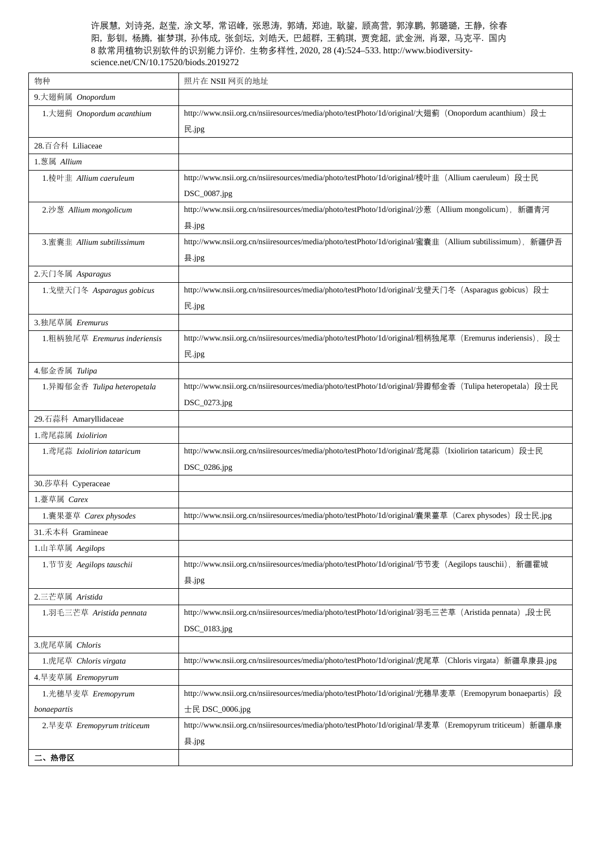| 物种                           | 照片在 NSII 网页的地址                                                                                          |
|------------------------------|---------------------------------------------------------------------------------------------------------|
| 9. 大翅蓟属 Onopordum            |                                                                                                         |
| 1. 大翅蓟 Onopordum acanthium   | http://www.nsii.org.cn/nsiiresources/media/photo/testPhoto/1d/original/大翅蓟 (Onopordum acanthium) 段士     |
|                              | 民.jpg                                                                                                   |
| 28.百合科 Liliaceae             |                                                                                                         |
| 1.葱属 Allium                  |                                                                                                         |
| 1.棱叶韭 Allium caeruleum       | http://www.nsii.org.cn/nsiiresources/media/photo/testPhoto/1d/original/棱叶韭 (Allium caeruleum) 段士民       |
|                              | DSC_0087.jpg                                                                                            |
| 2.沙葱 Allium mongolicum       | http://www.nsii.org.cn/nsiiresources/media/photo/testPhoto/1d/original/沙葱 (Allium mongolicum), 新疆青河     |
|                              | 县.jpg                                                                                                   |
| 3. 蜜囊韭 Allium subtilissimum  | http://www.nsii.org.cn/nsiiresources/media/photo/testPhoto/1d/original/蜜囊韭 (Allium subtilissimum), 新疆伊吾 |
|                              | 县.jpg                                                                                                   |
| 2.天门冬属 Asparagus             |                                                                                                         |
| 1. 戈壁天门冬 Asparagus gobicus   | http://www.nsii.org.cn/nsiiresources/media/photo/testPhoto/1d/original/戈壁天门冬(Asparagus gobicus)段士       |
|                              | 民.jpg                                                                                                   |
| 3.独尾草属 Eremurus              |                                                                                                         |
| 1.粗柄独尾草 Eremurus inderiensis | http://www.nsii.org.cn/nsiiresources/media/photo/testPhoto/1d/original/粗柄独尾草 (Eremurus inderiensis), 段士 |
|                              | 民.jpg                                                                                                   |
| 4.郁金香属 Tulipa                |                                                                                                         |
| 1.异瓣郁金香 Tulipa heteropetala  | http://www.nsii.org.cn/nsiiresources/media/photo/testPhoto/1d/original/异瓣郁金香 (Tulipa heteropetala) 段士民  |
|                              | DSC_0273.jpg                                                                                            |
| 29.石蒜科 Amaryllidaceae        |                                                                                                         |
| 1.鸢尾蒜属 Ixiolirion            |                                                                                                         |
| 1.鸢尾蒜 Ixiolirion tataricum   | http://www.nsii.org.cn/nsiiresources/media/photo/testPhoto/1d/original/鸢尾蒜 (Ixiolirion tataricum) 段士民   |
|                              | DSC_0286.jpg                                                                                            |
| 30.莎草科 Cyperaceae            |                                                                                                         |
| 1.薹草属 Carex                  |                                                                                                         |
| 1.囊果薹草 Carex physodes        | http://www.nsii.org.cn/nsiiresources/media/photo/testPhoto/1d/original/囊果薹草 (Carex physodes) 段士民.jpg    |
| 31.禾本科 Gramineae             |                                                                                                         |
| 1.山羊草属 Aegilops              |                                                                                                         |
| 1.节节麦 Aegilops tauschii      | http://www.nsii.org.cn/nsiiresources/media/photo/testPhoto/1d/original/节节麦 (Aegilops tauschii), 新疆霍城    |
|                              | 县.jpg                                                                                                   |
| 2.三芒草属 Aristida              |                                                                                                         |
| 1.羽毛三芒草 Aristida pennata     | http://www.nsii.org.cn/nsiiresources/media/photo/testPhoto/1d/original/羽毛三芒草 (Aristida pennata),段士民     |
|                              | DSC_0183.jpg                                                                                            |
| 3.虎尾草属 Chloris               |                                                                                                         |
| 1.虎尾草 Chloris virgata        | http://www.nsii.org.cn/nsiiresources/media/photo/testPhoto/1d/original/虎尾草 (Chloris virgata) 新疆阜康县.jpg  |
| 4.旱麦草属 Eremopyrum            |                                                                                                         |
| 1.光穗旱麦草 Eremopyrum           | http://www.nsii.org.cn/nsiiresources/media/photo/testPhoto/1d/original/光穗旱麦草 (Eremopyrum bonaepartis) 段 |
| bonaepartis                  | 士民 $DSC_0006.jpg$                                                                                       |
| 2.旱麦草 Eremopyrum triticeum   | http://www.nsii.org.cn/nsiiresources/media/photo/testPhoto/1d/original/旱麦草(Eremopyrum triticeum)新疆阜康    |
|                              | 县.jpg                                                                                                   |
| 二、热带区                        |                                                                                                         |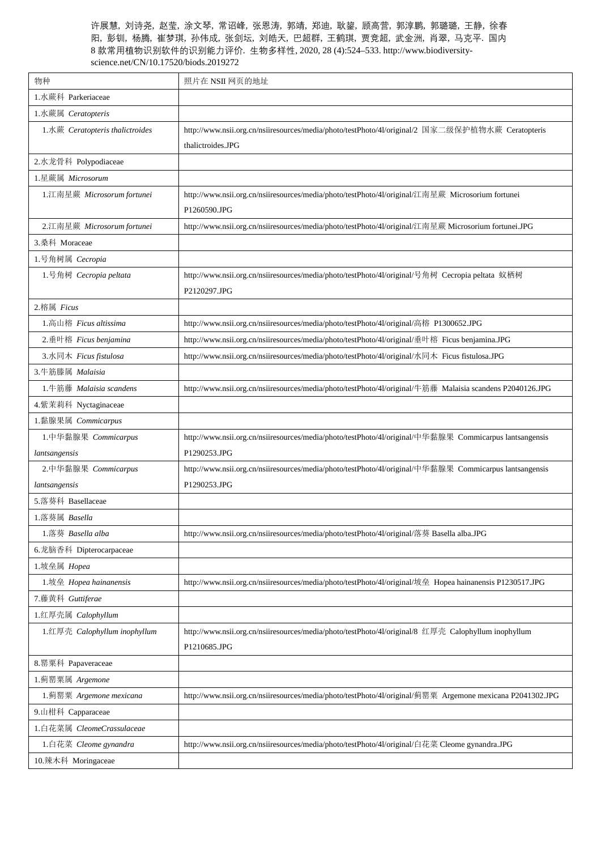| 物种                              | 照片在 NSII 网页的地址                                                                                            |
|---------------------------------|-----------------------------------------------------------------------------------------------------------|
| 1.水蕨科 Parkeriaceae              |                                                                                                           |
| 1.水蕨属 Ceratopteris              |                                                                                                           |
| 1.水蕨 Ceratopteris thalictroides | http://www.nsii.org.cn/nsiiresources/media/photo/testPhoto/4l/original/2 国家二级保护植物水蕨 Ceratopteris          |
|                                 | thalictroides.JPG                                                                                         |
| 2.水龙骨科 Polypodiaceae            |                                                                                                           |
| 1.星蕨属 Microsorum                |                                                                                                           |
| 1.江南星蕨 Microsorum fortunei      | http://www.nsii.org.cn/nsiiresources/media/photo/testPhoto/41/original/江南星蕨 Microsorium fortunei          |
|                                 | P1260590.JPG                                                                                              |
| 2.江南星蕨 Microsorum fortunei      | http://www.nsii.org.cn/nsiiresources/media/photo/testPhoto/41/original/江南星蕨 Microsorium fortunei.JPG      |
| 3.桑科 Moraceae                   |                                                                                                           |
| 1.号角树属 Cecropia                 |                                                                                                           |
| 1.号角树 Cecropia peltata          | http://www.nsii.org.cn/nsiiresources/media/photo/testPhoto/41/original/号角树 Cecropia peltata 蚁栖树           |
|                                 | P2120297.JPG                                                                                              |
| 2.榕属 Ficus                      |                                                                                                           |
| 1. 高山榕 Ficus altissima          | http://www.nsii.org.cn/nsiiresources/media/photo/testPhoto/4l/original/高榕 P1300652.JPG                    |
| 2. 垂叶榕 Ficus benjamina          | http://www.nsii.org.cn/nsiiresources/media/photo/testPhoto/4l/original/垂叶榕 Ficus benjamina.JPG            |
| 3.水同木 Ficus fistulosa           | http://www.nsii.org.cn/nsiiresources/media/photo/testPhoto/4l/original/水同木 Ficus fistulosa.JPG            |
| 3.牛筋滕属 Malaisia                 |                                                                                                           |
| 1.牛筋藤 Malaisia scandens         | http://www.nsii.org.cn/nsiiresources/media/photo/testPhoto/41/original/牛筋藤 Malaisia scandens P2040126.JPG |
| 4.紫茉莉科 Nyctaginaceae            |                                                                                                           |
| 1.黏腺果属 Commicarpus              |                                                                                                           |
| 1.中华黏腺果 Commicarpus             | http://www.nsii.org.cn/nsiiresources/media/photo/testPhoto/4l/original/中华黏腺果 Commicarpus lantsangensis    |
| lantsangensis                   | P1290253.JPG                                                                                              |
| 2.中华黏腺果 Commicarpus             | http://www.nsii.org.cn/nsiiresources/media/photo/testPhoto/4l/original/中华黏腺果 Commicarpus lantsangensis    |
| lantsangensis                   | P1290253.JPG                                                                                              |
| 5.落葵科 Basellaceae               |                                                                                                           |
| 1.落葵属 Basella                   |                                                                                                           |
| 1.落葵 Basella alba               | http://www.nsii.org.cn/nsiiresources/media/photo/testPhoto/41/original/落葵 Basella alba.JPG                |
| 6.龙脑香科 Dipterocarpaceae         |                                                                                                           |
| 1.坡垒属 Hopea                     |                                                                                                           |
| 1.坡垒 Hopea hainanensis          | http://www.nsii.org.cn/nsiiresources/media/photo/testPhoto/4l/original/坡垒 Hopea hainanensis P1230517.JPG  |
| 7.藤黄科 Guttiferae                |                                                                                                           |
| 1.红厚壳属 Calophyllum              |                                                                                                           |
| 1.红厚壳 Calophyllum inophyllum    | http://www.nsii.org.cn/nsiiresources/media/photo/testPhoto/41/original/8 红厚壳 Calophyllum inophyllum       |
|                                 | P1210685.JPG                                                                                              |
| 8. 罂粟科 Papaveraceae             |                                                                                                           |
| 1.蓟罂粟属 Argemone                 |                                                                                                           |
| 1.蓟罂粟 Argemone mexicana         | http://www.nsii.org.cn/nsiiresources/media/photo/testPhoto/4l/original/蓟罂粟 Argemone mexicana P2041302.JPG |
| 9.山柑科 Capparaceae               |                                                                                                           |
| 1.白花菜属 CleomeCrassulaceae       |                                                                                                           |
| 1.白花菜 Cleome gynandra           | http://www.nsii.org.cn/nsiiresources/media/photo/testPhoto/4l/original/白花菜 Cleome gynandra.JPG            |
| 10.辣木科 Moringaceae              |                                                                                                           |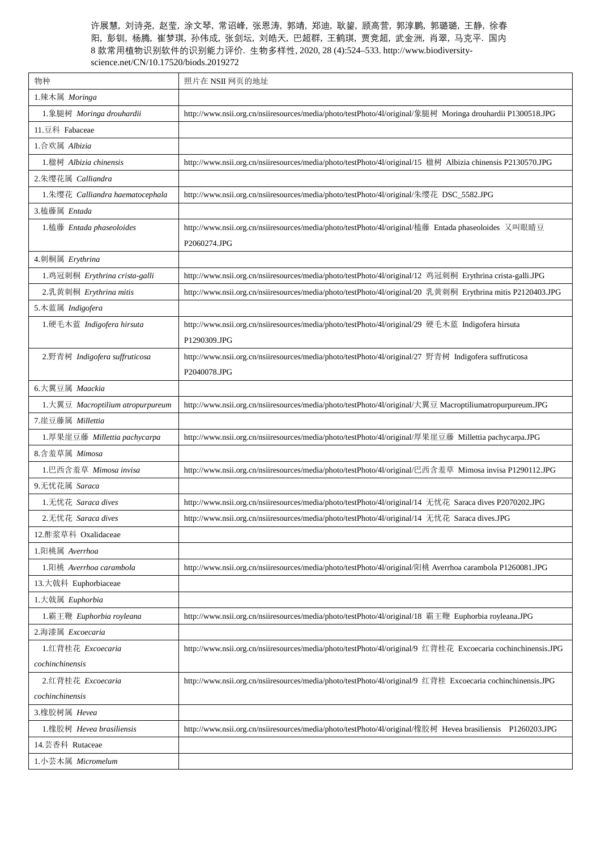| 物种                               | 照片在 NSII 网页的地址                                                                                               |
|----------------------------------|--------------------------------------------------------------------------------------------------------------|
| 1.辣木属 Moringa                    |                                                                                                              |
| 1. 象腿树 Moringa drouhardii        | http://www.nsii.org.cn/nsiiresources/media/photo/testPhoto/4l/original/象腿树 Moringa drouhardii P1300518.JPG   |
| 11.豆科 Fabaceae                   |                                                                                                              |
| 1.合欢属 Albizia                    |                                                                                                              |
| 1.楹树 Albizia chinensis           | http://www.nsii.org.cn/nsiiresources/media/photo/testPhoto/4l/original/15 楹树 Albizia chinensis P2130570.JPG  |
| 2. 朱缨花属 Calliandra               |                                                                                                              |
| 1.朱缨花 Calliandra haematocephala  | http://www.nsii.org.cn/nsiiresources/media/photo/testPhoto/41/original/朱缨花 DSC_5582.JPG                      |
| 3. 榼藤属 Entada                    |                                                                                                              |
| 1. 榼藤 Entada phaseoloides        | http://www.nsii.org.cn/nsiiresources/media/photo/testPhoto/41/original/榼藤 Entada phaseoloides 又叫眼睛豆          |
|                                  | P2060274.JPG                                                                                                 |
| 4. 刺桐属 Erythrina                 |                                                                                                              |
| 1.鸡冠刺桐 Erythrina crista-galli    | http://www.nsii.org.cn/nsiiresources/media/photo/testPhoto/41/original/12 鸡冠刺桐 Erythrina crista-galli.JPG    |
| 2.乳黄刺桐 Erythrina mitis           | http://www.nsii.org.cn/nsiiresources/media/photo/testPhoto/41/original/20 乳黄刺桐 Erythrina mitis P2120403.JPG  |
| 5.木蓝属 Indigofera                 |                                                                                                              |
| 1.硬毛木蓝 Indigofera hirsuta        | http://www.nsii.org.cn/nsiiresources/media/photo/testPhoto/41/original/29 硬毛木蓝 Indigofera hirsuta            |
|                                  | P1290309.JPG                                                                                                 |
| 2.野青树 Indigofera suffruticosa    | http://www.nsii.org.cn/nsiiresources/media/photo/testPhoto/4l/original/27 野青树 Indigofera suffruticosa        |
|                                  | P2040078.JPG                                                                                                 |
| 6.大翼豆属 Maackia                   |                                                                                                              |
| 1.大翼豆 Macroptilium atropurpureum | http://www.nsii.org.cn/nsiiresources/media/photo/testPhoto/41/original/大翼豆 Macroptiliumatropurpureum.JPG     |
| 7. 崖豆藤属 Millettia                |                                                                                                              |
| 1.厚果崖豆藤 Millettia pachycarpa     | http://www.nsii.org.cn/nsiiresources/media/photo/testPhoto/4l/original/厚果崖豆藤 Millettia pachycarpa.JPG        |
| 8.含羞草属 Mimosa                    |                                                                                                              |
| 1.巴西含羞草 Mimosa invisa            | http://www.nsii.org.cn/nsiiresources/media/photo/testPhoto/4l/original/巴西含羞草 Mimosa invisa P1290112.JPG      |
| 9.无忧花属 Saraca                    |                                                                                                              |
| 1.无忧花 Saraca dives               | http://www.nsii.org.cn/nsiiresources/media/photo/testPhoto/41/original/14 无忧花 Saraca dives P2070202.JPG      |
| 2. 无忧花 Saraca dives              | http://www.nsii.org.cn/nsiiresources/media/photo/testPhoto/4l/original/14 无忧花 Saraca dives.JPG               |
| 12.酢浆草科 Oxalidaceae              |                                                                                                              |
| 1.阳桃属 Averrhoa                   |                                                                                                              |
| 1.阳桃 Averrhoa carambola          | http://www.nsii.org.cn/nsiiresources/media/photo/testPhoto/4l/original/阳桃 Averrhoa carambola P1260081.JPG    |
| 13. 大戟科 Euphorbiaceae            |                                                                                                              |
| 1. 大戟属 Euphorbia                 |                                                                                                              |
| 1.霸王鞭 Euphorbia royleana         | http://www.nsii.org.cn/nsiiresources/media/photo/testPhoto/41/original/18 霸王鞭 Euphorbia royleana.JPG         |
| 2.海漆属 Excoecaria                 |                                                                                                              |
| 1.红背桂花 Excoecaria                | http://www.nsii.org.cn/nsiiresources/media/photo/testPhoto/41/original/9 红背桂花 Excoecaria cochinchinensis.JPG |
| cochinchinensis                  |                                                                                                              |
| 2.红背桂花 Excoecaria                | http://www.nsii.org.cn/nsiiresources/media/photo/testPhoto/41/original/9 红背桂 Excoecaria cochinchinensis.JPG  |
| cochinchinensis                  |                                                                                                              |
| 3.橡胶树属 Hevea                     |                                                                                                              |
| 1.橡胶树 Hevea brasiliensis         | http://www.nsii.org.cn/nsiiresources/media/photo/testPhoto/41/original/橡胶树 Hevea brasiliensis P1260203.JPG   |
| 14.芸香科 Rutaceae                  |                                                                                                              |
| 1.小芸木属 Micromelum                |                                                                                                              |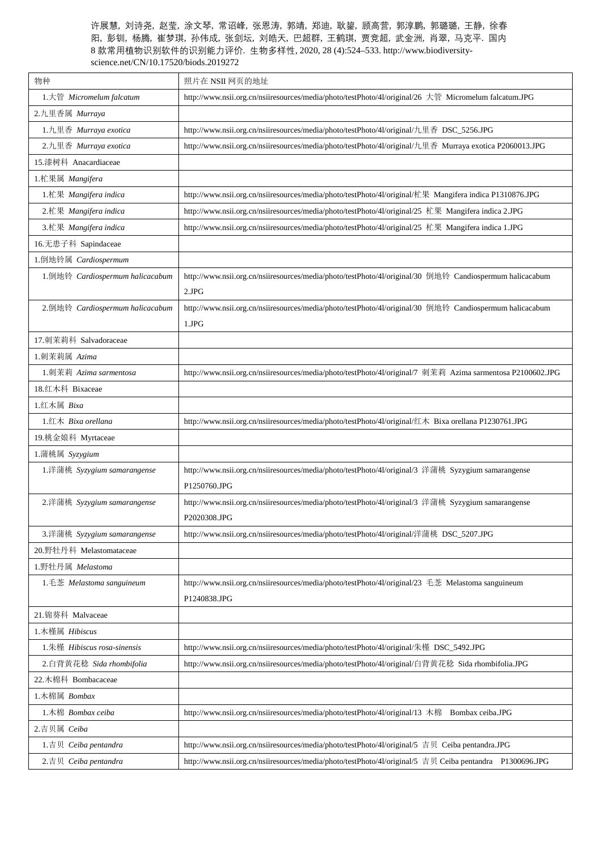| 物种                              | 照片在 NSII 网页的地址                                                                                             |
|---------------------------------|------------------------------------------------------------------------------------------------------------|
| 1. 大管 Micromelum falcatum       | http://www.nsii.org.cn/nsiiresources/media/photo/testPhoto/41/original/26 大管 Micromelum falcatum.JPG       |
| 2.九里香属 Murraya                  |                                                                                                            |
| 1.九里香 Murraya exotica           | http://www.nsii.org.cn/nsiiresources/media/photo/testPhoto/41/original/九里香 DSC_5256.JPG                    |
| 2.九里香 Murraya exotica           | http://www.nsii.org.cn/nsiiresources/media/photo/testPhoto/41/original/九里香 Murraya exotica P2060013.JPG    |
| 15.漆树科 Anacardiaceae            |                                                                                                            |
| 1.杧果属 Mangifera                 |                                                                                                            |
| 1.杧果 Mangifera indica           | http://www.nsii.org.cn/nsiiresources/media/photo/testPhoto/4l/original/杧果 Mangifera indica P1310876.JPG    |
| 2.杧果 Mangifera indica           | http://www.nsii.org.cn/nsiiresources/media/photo/testPhoto/41/original/25 杧果 Mangifera indica 2.JPG        |
| 3.杧果 Mangifera indica           | http://www.nsii.org.cn/nsiiresources/media/photo/testPhoto/41/original/25 杧果 Mangifera indica 1.JPG        |
| 16.无患子科 Sapindaceae             |                                                                                                            |
| 1.倒地铃属 Cardiospermum            |                                                                                                            |
| 1.倒地铃 Cardiospermum halicacabum | http://www.nsii.org.cn/nsiiresources/media/photo/testPhoto/4l/original/30 倒地铃 Candiospermum halicacabum    |
|                                 | 2.JPG                                                                                                      |
| 2.倒地铃 Cardiospermum halicacabum | http://www.nsii.org.cn/nsiiresources/media/photo/testPhoto/41/original/30 倒地铃 Candiospermum halicacabum    |
|                                 | 1.JPG                                                                                                      |
| 17.刺茉莉科 Salvadoraceae           |                                                                                                            |
| 1.刺茉莉属 Azima                    |                                                                                                            |
| 1.刺茉莉 Azima sarmentosa          | http://www.nsii.org.cn/nsiiresources/media/photo/testPhoto/4l/original/7 刺茉莉 Azima sarmentosa P2100602.JPG |
| 18.红木科 Bixaceae                 |                                                                                                            |
| 1.红木属 Bixa                      |                                                                                                            |
| $1.⊈⊓$ Bixa orellana            | http://www.nsii.org.cn/nsiiresources/media/photo/testPhoto/4l/original/红木 Bixa orellana P1230761.JPG       |
| 19.桃金娘科 Myrtaceae               |                                                                                                            |
| 1.蒲桃属 Syzygium                  |                                                                                                            |
| 1.洋蒲桃 Syzygium samarangense     | http://www.nsii.org.cn/nsiiresources/media/photo/testPhoto/4l/original/3 洋蒲桃 Syzygium samarangense         |
|                                 | P1250760.JPG                                                                                               |
| 2.洋蒲桃 Syzygium samarangense     | http://www.nsii.org.cn/nsiiresources/media/photo/testPhoto/41/original/3 洋蒲桃 Syzygium samarangense         |
|                                 | P2020308.JPG                                                                                               |
| 3.洋蒲桃 Syzygium samarangense     | http://www.nsii.org.cn/nsiiresources/media/photo/testPhoto/41/original/洋蒲桃 DSC_5207.JPG                    |
| 20.野牡丹科 Melastomataceae         |                                                                                                            |
| 1.野牡丹属 Melastoma                |                                                                                                            |
| 1.毛菍 Melastoma sanguineum       | http://www.nsii.org.cn/nsiiresources/media/photo/testPhoto/41/original/23 毛菍 Melastoma sanguineum          |
|                                 | P1240838.JPG                                                                                               |
| 21. 锦葵科 Malvaceae               |                                                                                                            |
| 1.木槿属 Hibiscus                  |                                                                                                            |
| 1.朱槿 Hibiscus rosa-sinensis     | http://www.nsii.org.cn/nsiiresources/media/photo/testPhoto/41/original/朱槿 DSC_5492.JPG                     |
| 2.白背黄花稔 Sida rhombifolia        | http://www.nsii.org.cn/nsiiresources/media/photo/testPhoto/4l/original/白背黄花稔 Sida rhombifolia.JPG          |
| 22.木棉科 Bombacaceae              |                                                                                                            |
| 1.木棉属 Bombax                    |                                                                                                            |
| 1.木棉 Bombax ceiba               | http://www.nsii.org.cn/nsiiresources/media/photo/testPhoto/4l/original/13 木棉 Bombax ceiba.JPG              |
| 2.吉贝属 Ceiba                     |                                                                                                            |
| 1.吉贝 Ceiba pentandra            | http://www.nsii.org.cn/nsiiresources/media/photo/testPhoto/41/original/5 吉贝 Ceiba pentandra.JPG            |
| 2.吉贝 Ceiba pentandra            | http://www.nsii.org.cn/nsiiresources/media/photo/testPhoto/41/original/5 吉贝 Ceiba pentandra P1300696.JPG   |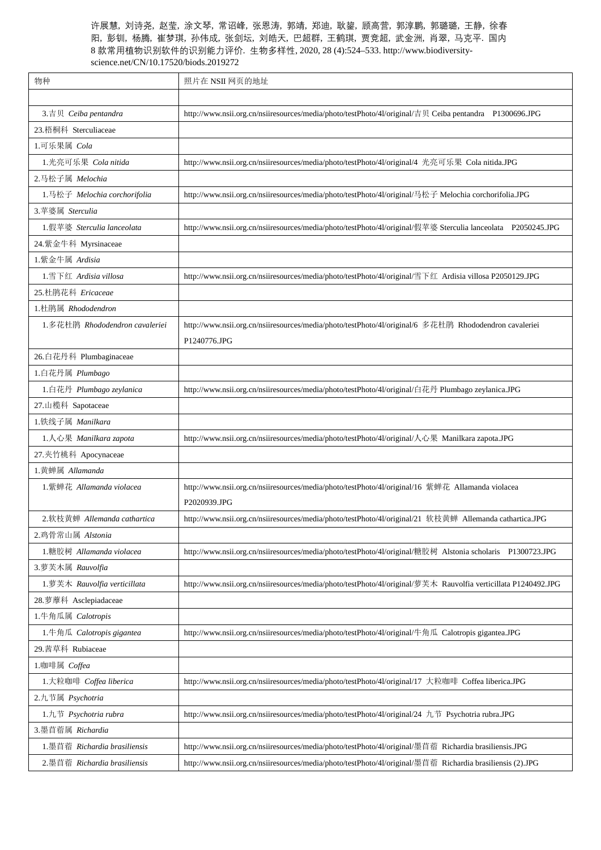| 物种                             | 照片在 NSII 网页的地址                                                                                                 |
|--------------------------------|----------------------------------------------------------------------------------------------------------------|
|                                |                                                                                                                |
| 3.吉贝 Ceiba pentandra           | http://www.nsii.org.cn/nsiiresources/media/photo/testPhoto/4l/original/吉贝 Ceiba pentandra P1300696.JPG         |
| 23.梧桐科 Sterculiaceae           |                                                                                                                |
| 1.可乐果属 Cola                    |                                                                                                                |
| 1. 光亮可乐果 Cola nitida           | http://www.nsii.org.cn/nsiiresources/media/photo/testPhoto/4l/original/4 光亮可乐果 Cola nitida.JPG                 |
| 2.马松子属 Melochia                |                                                                                                                |
| 1.马松子 Melochia corchorifolia   | http://www.nsii.org.cn/nsiiresources/media/photo/testPhoto/41/original/马松子 Melochia corchorifolia.JPG          |
| 3. 苹婆属 Sterculia               |                                                                                                                |
| 1.假苹婆 Sterculia lanceolata     | http://www.nsii.org.cn/nsiiresources/media/photo/testPhoto/4l/original/假苹婆 Sterculia lanceolata P2050245.JPG   |
| 24.紫金牛科 Myrsinaceae            |                                                                                                                |
| 1.紫金牛属 Ardisia                 |                                                                                                                |
| 1. 雪下红 Ardisia villosa         | http://www.nsii.org.cn/nsiiresources/media/photo/testPhoto/41/original/雪下红 Ardisia villosa P2050129.JPG        |
| 25.杜鹃花科 Ericaceae              |                                                                                                                |
| 1.杜鹃属 Rhododendron             |                                                                                                                |
| 1.多花杜鹃 Rhododendron cavaleriei | http://www.nsii.org.cn/nsiiresources/media/photo/testPhoto/4l/original/6 多花杜鹃 Rhododendron cavaleriei          |
|                                | P1240776.JPG                                                                                                   |
| 26.白花丹科 Plumbaginaceae         |                                                                                                                |
| 1.白花丹属 Plumbago                |                                                                                                                |
| 1.白花丹 Plumbago zeylanica       | http://www.nsii.org.cn/nsiiresources/media/photo/testPhoto/41/original/白花丹 Plumbago zeylanica.JPG              |
| 27.山榄科 Sapotaceae              |                                                                                                                |
| 1.铁线子属 Manilkara               |                                                                                                                |
| 1.人心果 Manilkara zapota         | http://www.nsii.org.cn/nsiiresources/media/photo/testPhoto/4l/original/人心果 Manilkara zapota.JPG                |
| 27.夹竹桃科 Apocynaceae            |                                                                                                                |
| 1. 黄蝉属 Allamanda               |                                                                                                                |
| 1.紫蝉花 Allamanda violacea       | http://www.nsii.org.cn/nsiiresources/media/photo/testPhoto/41/original/16 紫蝉花 Allamanda violacea               |
|                                | P2020939.JPG                                                                                                   |
| 2. 软枝黄蝉 Allemanda cathartica   | http://www.nsii.org.cn/nsiiresources/media/photo/testPhoto/4l/original/21 软枝黄蝉 Allemanda cathartica.JPG        |
| 2.鸡骨常山属 Alstonia               |                                                                                                                |
| 1.糖胶树 Allamanda violacea       | http://www.nsii.org.cn/nsiiresources/media/photo/testPhoto/41/original/糖胶树 Alstonia scholaris P1300723.JPG     |
| 3.萝芙木属 Rauvolfia               |                                                                                                                |
| 1.萝芙木 Rauvolfia verticillata   | http://www.nsii.org.cn/nsiiresources/media/photo/testPhoto/4l/original/萝芙木 Rauvolfia verticillata P1240492.JPG |
| 28.萝藦科 Asclepiadaceae          |                                                                                                                |
| 1.牛角瓜属 Calotropis              |                                                                                                                |
| 1.牛角瓜 Calotropis gigantea      | http://www.nsii.org.cn/nsiiresources/media/photo/testPhoto/41/original/牛角瓜 Calotropis gigantea.JPG             |
| 29. 茜草科 Rubiaceae              |                                                                                                                |
| 1.咖啡属 Coffea                   |                                                                                                                |
| 1. 大粒咖啡 Coffea liberica        | http://www.nsii.org.cn/nsiiresources/media/photo/testPhoto/41/original/17 大粒咖啡 Coffea liberica.JPG             |
| 2.九节属 Psychotria               |                                                                                                                |
| 1.九节 Psychotria rubra          | http://www.nsii.org.cn/nsiiresources/media/photo/testPhoto/41/original/24 九节 Psychotria rubra.JPG              |
| 3.墨苜蓿属 Richardia               |                                                                                                                |
| 1. 墨苜蓿 Richardia brasiliensis  | http://www.nsii.org.cn/nsiiresources/media/photo/testPhoto/41/original/墨苜蓿 Richardia brasiliensis.JPG          |
| 2. 墨苜蓿 Richardia brasiliensis  | http://www.nsii.org.cn/nsiiresources/media/photo/testPhoto/4l/original/墨苜蓿 Richardia brasiliensis (2).JPG      |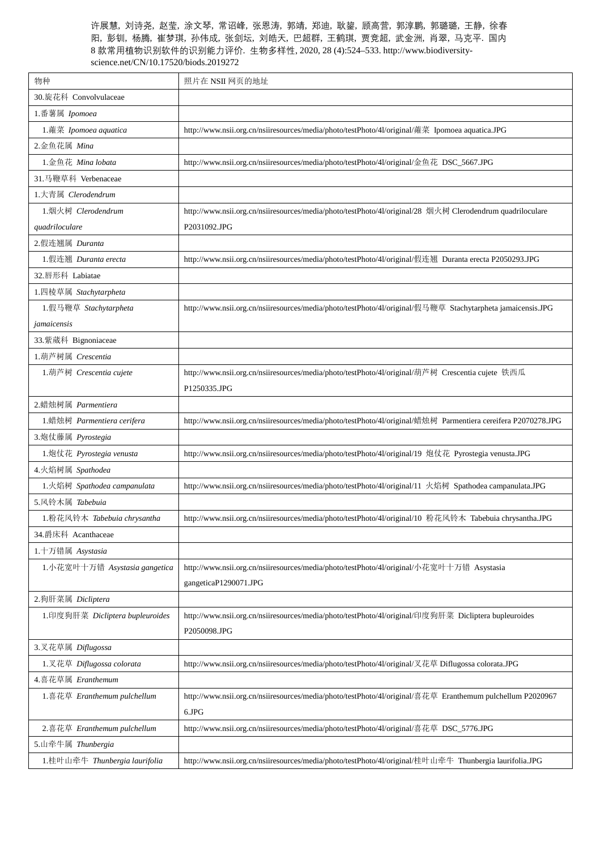| 物种                              | 照片在 NSII 网页的地址                                                                                                |
|---------------------------------|---------------------------------------------------------------------------------------------------------------|
| 30. 旋花科 Convolvulaceae          |                                                                                                               |
| 1.番薯属 Ipomoea                   |                                                                                                               |
| 1.蕹菜 Ipomoea aquatica           | http://www.nsii.org.cn/nsiiresources/media/photo/testPhoto/4l/original/蕹菜 Ipomoea aquatica.JPG                |
| 2.金鱼花属 Mina                     |                                                                                                               |
| 1. 金鱼花 Mina lobata              | http://www.nsii.org.cn/nsiiresources/media/photo/testPhoto/41/original/金鱼花 DSC_5667.JPG                       |
| 31.马鞭草科 Verbenaceae             |                                                                                                               |
| 1. 大青属 Clerodendrum             |                                                                                                               |
| 1.烟火树 Clerodendrum              | http://www.nsii.org.cn/nsiiresources/media/photo/testPhoto/4l/original/28 烟火树 Clerodendrum quadriloculare     |
| quadriloculare                  | P2031092.JPG                                                                                                  |
| 2.假连翘属 Duranta                  |                                                                                                               |
| 1.假连翘 Duranta erecta            | http://www.nsii.org.cn/nsiiresources/media/photo/testPhoto/4l/original/假连翘 Duranta erecta P2050293.JPG        |
| 32. 唇形科 Labiatae                |                                                                                                               |
| 1.四棱草属 Stachytarpheta           |                                                                                                               |
| 1.假马鞭草 Stachytarpheta           | http://www.nsii.org.cn/nsiiresources/media/photo/testPhoto/41/original/假马鞭草 Stachytarpheta jamaicensis.JPG    |
| jamaicensis                     |                                                                                                               |
| 33.紫葳科 Bignoniaceae             |                                                                                                               |
| 1.葫芦树属 Crescentia               |                                                                                                               |
| 1.葫芦树 Crescentia cujete         | http://www.nsii.org.cn/nsiiresources/media/photo/testPhoto/41/original/葫芦树 Crescentia cujete 铁西瓜              |
|                                 | P1250335.JPG                                                                                                  |
| 2.蜡烛树属 Parmentiera              |                                                                                                               |
| 1.蜡烛树 Parmentiera cerifera      | http://www.nsii.org.cn/nsiiresources/media/photo/testPhoto/41/original/蜡烛树 Parmentiera cereifera P2070278.JPG |
| 3.炮仗藤属 Pyrostegia               |                                                                                                               |
| 1.炮仗花 Pyrostegia venusta        | http://www.nsii.org.cn/nsiiresources/media/photo/testPhoto/41/original/19 炮仗花 Pyrostegia venusta.JPG          |
| 4.火焰树属 Spathodea                |                                                                                                               |
| 1.火焰树 Spathodea campanulata     | http://www.nsii.org.cn/nsiiresources/media/photo/testPhoto/4l/original/11 火焰树 Spathodea campanulata.JPG       |
| 5.风铃木属 Tabebuia                 |                                                                                                               |
| 1.粉花风铃木 Tabebuia chrysantha     | http://www.nsii.org.cn/nsiiresources/media/photo/testPhoto/4l/original/10 粉花风铃木 Tabebuia chrysantha.JPG       |
| 34.爵床科 Acanthaceae              |                                                                                                               |
| 1.十万错属 Asystasia                |                                                                                                               |
| 1.小花宽叶十万错 Asystasia gangetica   | http://www.nsii.org.cn/nsiiresources/media/photo/testPhoto/4l/original/小花宽叶十万错 Asystasia                      |
|                                 | gangeticaP1290071.JPG                                                                                         |
| 2.狗肝菜属 Dicliptera               |                                                                                                               |
| 1.印度狗肝菜 Dicliptera bupleuroides | http://www.nsii.org.cn/nsiiresources/media/photo/testPhoto/41/original/印度狗肝菜 Dicliptera bupleuroides          |
|                                 | P2050098.JPG                                                                                                  |
| 3.叉花草属 Diflugossa               |                                                                                                               |
| 1.叉花草 Diflugossa colorata       | http://www.nsii.org.cn/nsiiresources/media/photo/testPhoto/4l/original/叉花草 Diflugossa colorata.JPG            |
| 4.喜花草属 Eranthemum               |                                                                                                               |
| 1.喜花草 Eranthemum pulchellum     | http://www.nsii.org.cn/nsiiresources/media/photo/testPhoto/4l/original/喜花草 Eranthemum pulchellum P2020967     |
|                                 | $6.\mathrm{JPG}$                                                                                              |
| 2.喜花草 Eranthemum pulchellum     | http://www.nsii.org.cn/nsiiresources/media/photo/testPhoto/4l/original/喜花草 DSC_5776.JPG                       |
| 5.山牵牛属 Thunbergia               |                                                                                                               |
| 1.桂叶山牵牛 Thunbergia laurifolia   | http://www.nsii.org.cn/nsiiresources/media/photo/testPhoto/4l/original/桂叶山牵牛 Thunbergia laurifolia.JPG        |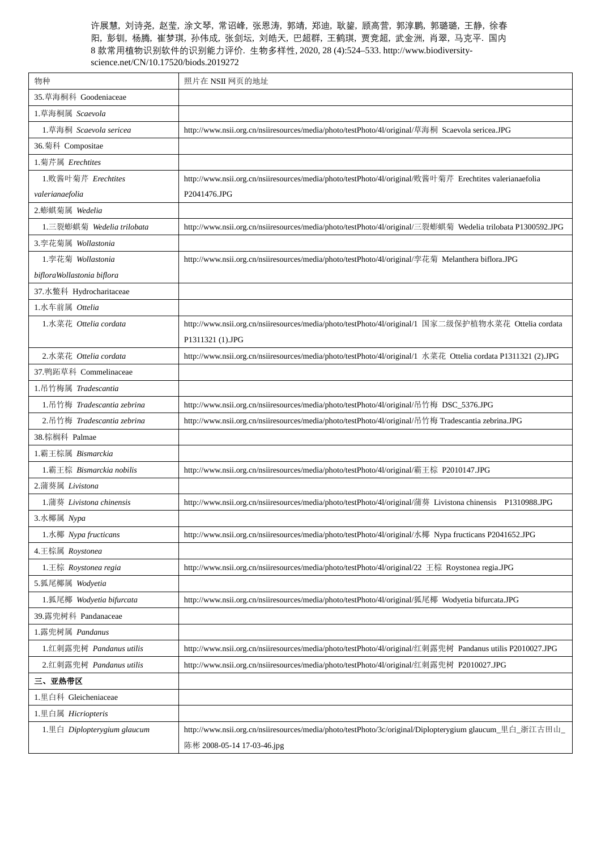| 物种                          | 照片在 NSII 网页的地址                                                                                                |
|-----------------------------|---------------------------------------------------------------------------------------------------------------|
| 35.草海桐科 Goodeniaceae        |                                                                                                               |
| 1.草海桐属 Scaevola             |                                                                                                               |
| 1.草海桐 Scaevola sericea      | http://www.nsii.org.cn/nsiiresources/media/photo/testPhoto/4l/original/草海桐 Scaevola sericea.JPG               |
| 36.菊科 Compositae            |                                                                                                               |
| 1.菊芹属 Erechtites            |                                                                                                               |
| 1.败酱叶菊芹 Erechtites          | http://www.nsii.org.cn/nsiiresources/media/photo/testPhoto/4l/original/败酱叶菊芹 Erechtites valerianaefolia       |
| valerianaefolia             | P2041476.JPG                                                                                                  |
| 2.蟛蜞菊属 Wedelia              |                                                                                                               |
| 1. 三裂蟛蜞菊 Wedelia trilobata  | http://www.nsii.org.cn/nsiiresources/media/photo/testPhoto/4l/original/三裂蟛蜞菊 Wedelia trilobata P1300592.JPG   |
| 3. 孪花菊属 Wollastonia         |                                                                                                               |
| 1. 孪花菊 Wollastonia          | http://www.nsii.org.cn/nsiiresources/media/photo/testPhoto/41/original/孪花菊 Melanthera biflora.JPG             |
| bifloraWollastonia biflora  |                                                                                                               |
| 37.水鳖科 Hydrocharitaceae     |                                                                                                               |
| 1.水车前属 Ottelia              |                                                                                                               |
| 1.水菜花 Ottelia cordata       | http://www.nsii.org.cn/nsiiresources/media/photo/testPhoto/4l/original/1 国家二级保护植物水菜花 Ottelia cordata          |
|                             | P1311321 (1).JPG                                                                                              |
| 2.水菜花 Ottelia cordata       | http://www.nsii.org.cn/nsiiresources/media/photo/testPhoto/41/original/1 水菜花 Ottelia cordata P1311321 (2).JPG |
| 37.鸭跖草科 Commelinaceae       |                                                                                                               |
| 1. 吊竹梅属 Tradescantia        |                                                                                                               |
| 1.吊竹梅 Tradescantia zebrina  | http://www.nsii.org.cn/nsiiresources/media/photo/testPhoto/41/original/吊竹梅 DSC_5376.JPG                       |
| 2. 吊竹梅 Tradescantia zebrina | http://www.nsii.org.cn/nsiiresources/media/photo/testPhoto/41/original/吊竹梅 Tradescantia zebrina.JPG           |
| 38.棕榈科 Palmae               |                                                                                                               |
| 1.霸王棕属 Bismarckia           |                                                                                                               |
| 1.霸王棕 Bismarckia nobilis    | http://www.nsii.org.cn/nsiiresources/media/photo/testPhoto/4l/original/霸王棕 P2010147.JPG                       |
| 2.蒲葵属 Livistona             |                                                                                                               |
| 1.蒲葵 Livistona chinensis    | http://www.nsii.org.cn/nsiiresources/media/photo/testPhoto/4l/original/蒲葵 Livistona chinensis P1310988.JPG    |
| 3.水椰属 Nypa                  |                                                                                                               |
| 1.水椰 Nypa fructicans        | http://www.nsii.org.cn/nsiiresources/media/photo/testPhoto/4l/original/水椰 Nypa fructicans P2041652.JPG        |
| 4. 王棕属 Roystonea            |                                                                                                               |
| 1.王棕 Roystonea regia        | http://www.nsii.org.cn/nsiiresources/media/photo/testPhoto/4l/original/22 王棕 Roystonea regia.JPG              |
| 5.狐尾椰属 Wodyetia             |                                                                                                               |
| 1. 狐尾椰 Wodyetia bifurcata   | http://www.nsii.org.cn/nsiiresources/media/photo/testPhoto/41/original/狐尾椰 Wodyetia bifurcata.JPG             |
| 39.露兜树科 Pandanaceae         |                                                                                                               |
| 1.露兜树属 Pandanus             |                                                                                                               |
| 1.红刺露兜树 Pandanus utilis     | http://www.nsii.org.cn/nsiiresources/media/photo/testPhoto/4l/original/红刺露兜树 Pandanus utilis P2010027.JPG     |
| 2.红刺露兜树 Pandanus utilis     | http://www.nsii.org.cn/nsiiresources/media/photo/testPhoto/4l/original/红刺露兜树 P2010027.JPG                     |
| 三、亚热带区                      |                                                                                                               |
| 1.里白科 Gleicheniaceae        |                                                                                                               |
| 1.里白属 Hicriopteris          |                                                                                                               |
| 1.里白 Diplopterygium glaucum | http://www.nsii.org.cn/nsiiresources/media/photo/testPhoto/3c/original/Diplopterygium glaucum_里白_浙江古田山_       |
|                             | 陈彬 2008-05-14 17-03-46.jpg                                                                                    |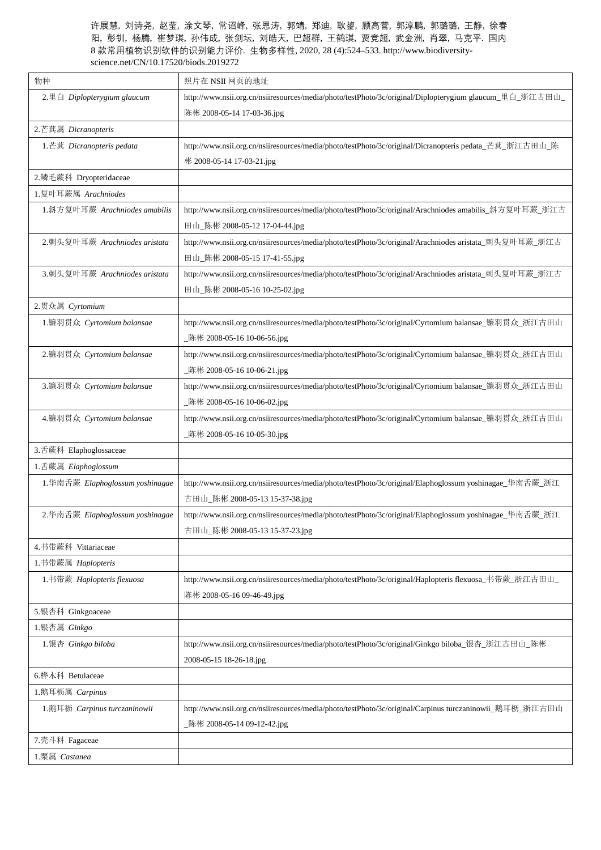| 物种                               | 照片在 NSII 网页的地址                                                                                          |
|----------------------------------|---------------------------------------------------------------------------------------------------------|
| 2.里白 Diplopterygium glaucum      | http://www.nsii.org.cn/nsiiresources/media/photo/testPhoto/3c/original/Diplopterygium glaucum_里白_浙江古田山_ |
|                                  | 陈彬 2008-05-14 17-03-36.jpg                                                                              |
| 2.芒萁属 Dicranopteris              |                                                                                                         |
| 1.芒萁 Dicranopteris pedata        | http://www.nsii.org.cn/nsiiresources/media/photo/testPhoto/3c/original/Dicranopteris pedata_芒萁_浙江古田山_陈  |
|                                  | 彬 2008-05-14 17-03-21.jpg                                                                               |
| 2.鳞毛蕨科 Dryopteridaceae           |                                                                                                         |
| 1.复叶耳蕨属 Arachniodes              |                                                                                                         |
| 1.斜方复叶耳蕨 Arachniodes amabilis    | http://www.nsii.org.cn/nsiiresources/media/photo/testPhoto/3c/original/Arachniodes amabilis_斜方复叶耳蕨_浙江古  |
|                                  | 田山_陈彬 2008-05-12 17-04-44.jpg                                                                           |
| 2.刺头复叶耳蕨 Arachniodes aristata    | http://www.nsii.org.cn/nsiiresources/media/photo/testPhoto/3c/original/Arachniodes aristata_刺头复叶耳蕨_浙江古  |
|                                  | 田山_陈彬 2008-05-15 17-41-55.jpg                                                                           |
| 3.刺头复叶耳蕨 Arachniodes aristata    | http://www.nsii.org.cn/nsiiresources/media/photo/testPhoto/3c/original/Arachniodes aristata_刺头复叶耳蕨_浙江古  |
|                                  | 田山_陈彬 2008-05-16 10-25-02.jpg                                                                           |
| 2.贯众属 Cyrtomium                  |                                                                                                         |
| 1.镰羽贯众 Cyrtomium balansae        | http://www.nsii.org.cn/nsiiresources/media/photo/testPhoto/3c/original/Cyrtomium balansae_镰羽贯众_浙江古田山    |
|                                  | _陈彬 2008-05-16 10-06-56.jpg                                                                             |
| 2.镰羽贯众 Cyrtomium balansae        | http://www.nsii.org.cn/nsiiresources/media/photo/testPhoto/3c/original/Cyrtomium balansae_镰羽贯众_浙江古田山    |
|                                  | _陈彬 2008-05-16 10-06-21.jpg                                                                             |
| 3.镰羽贯众 Cyrtomium balansae        | http://www.nsii.org.cn/nsiiresources/media/photo/testPhoto/3c/original/Cyrtomium balansae_镰羽贯众_浙江古田山    |
|                                  | _陈彬 2008-05-16 10-06-02.jpg                                                                             |
| 4.镰羽贯众 Cyrtomium balansae        | http://www.nsii.org.cn/nsiiresources/media/photo/testPhoto/3c/original/Cyrtomium balansae_镰羽贯众_浙江古田山    |
|                                  | _陈彬 2008-05-16 10-05-30.jpg                                                                             |
| 3.舌蕨科 Elaphoglossaceae           |                                                                                                         |
| 1.舌蕨属 Elaphoglossum              |                                                                                                         |
| 1.华南舌蕨 Elaphoglossum yoshinagae  | http://www.nsii.org.cn/nsiiresources/media/photo/testPhoto/3c/original/Elaphoglossum yoshinagae_华南舌蕨_浙江 |
|                                  | 古田山_陈彬 2008-05-13 15-37-38.jpg                                                                          |
| 2. 华南舌蕨 Elaphoglossum yoshinagae | http://www.nsii.org.cn/nsiiresources/media/photo/testPhoto/3c/original/Elaphoglossum yoshinagae_华南舌蕨_浙江 |
|                                  | 古田山_陈彬 2008-05-13 15-37-23.jpg                                                                          |
| 4.书带蕨科 Vittariaceae              |                                                                                                         |
| 1.书带蕨属 Haplopteris               |                                                                                                         |
| 1. 书带蕨 Haplopteris flexuosa      | http://www.nsii.org.cn/nsiiresources/media/photo/testPhoto/3c/original/Haplopteris flexuosa_书带蕨_浙江古田山_  |
|                                  | 陈彬 2008-05-16 09-46-49.jpg                                                                              |
| 5.银杏科 Ginkgoaceae                |                                                                                                         |
| 1.银杏属 Ginkgo                     |                                                                                                         |
| 1.银杏 Ginkgo biloba               | http://www.nsii.org.cn/nsiiresources/media/photo/testPhoto/3c/original/Ginkgo biloba_银杏_浙江古田山_陈彬        |
|                                  | 2008-05-15 18-26-18.jpg                                                                                 |
| 6.桦木科 Betulaceae                 |                                                                                                         |
| 1.鹅耳枥属 Carpinus                  |                                                                                                         |
| 1.鹅耳枥 Carpinus turczaninowii     | http://www.nsii.org.cn/nsiiresources/media/photo/testPhoto/3c/original/Carpinus turczaninowii_鹅耳枥_浙江古田山 |
|                                  | _陈彬 2008-05-14 09-12-42.jpg                                                                             |
| 7.壳斗科 Fagaceae                   |                                                                                                         |
| 1.栗属 Castanea                    |                                                                                                         |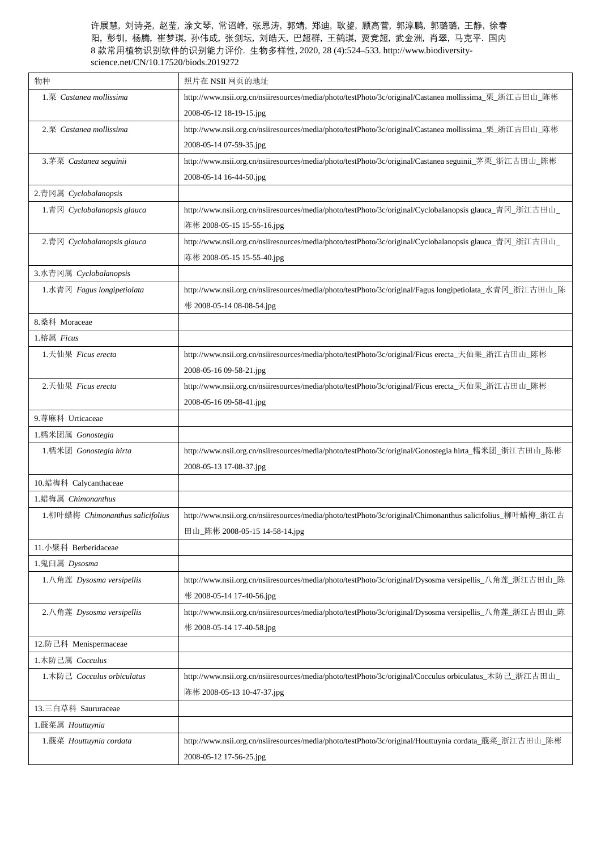| 物种                               | 照片在 NSII 网页的地址                                                                                            |
|----------------------------------|-----------------------------------------------------------------------------------------------------------|
| 1.栗 Castanea mollissima          | http://www.nsii.org.cn/nsiiresources/media/photo/testPhoto/3c/original/Castanea mollissima_栗_浙江古田山_陈彬     |
|                                  | 2008-05-12 18-19-15.jpg                                                                                   |
| 2.栗 Castanea mollissima          | http://www.nsii.org.cn/nsiiresources/media/photo/testPhoto/3c/original/Castanea mollissima_栗_浙江古田山_陈彬     |
|                                  | 2008-05-14 07-59-35.jpg                                                                                   |
| 3.茅栗 Castanea seguinii           | http://www.nsii.org.cn/nsiiresources/media/photo/testPhoto/3c/original/Castanea seguinii_茅栗_浙江古田山_陈彬      |
|                                  | 2008-05-14 16-44-50.jpg                                                                                   |
| 2.青冈属 Cyclobalanopsis            |                                                                                                           |
| 1.青冈 $Cyclobalanopsis glauca$    | http://www.nsii.org.cn/nsiiresources/media/photo/testPhoto/3c/original/Cyclobalanopsis glauca_青冈_浙江古田山    |
|                                  | 陈彬 2008-05-15 15-55-16.jpg                                                                                |
| 2.青冈 Cyclobalanopsis glauca      | http://www.nsii.org.cn/nsiiresources/media/photo/testPhoto/3c/original/Cyclobalanopsis glauca_青冈_浙江古田山_   |
|                                  | 陈彬 2008-05-15 15-55-40.jpg                                                                                |
| 3.水青冈属 Cyclobalanopsis           |                                                                                                           |
| 1.水青冈 Fagus longipetiolata       | http://www.nsii.org.cn/nsiiresources/media/photo/testPhoto/3c/original/Fagus longipetiolata_水青冈_浙江古田山_陈   |
|                                  | 彬 2008-05-14 08-08-54.jpg                                                                                 |
| 8.桑科 Moraceae                    |                                                                                                           |
| 1.榕属 Ficus                       |                                                                                                           |
| 1.天仙果 Ficus erecta               | http://www.nsii.org.cn/nsiiresources/media/photo/testPhoto/3c/original/Ficus erecta_天仙果_浙江古田山_陈彬          |
|                                  | 2008-05-16 09-58-21.jpg                                                                                   |
| 2.天仙果 Ficus erecta               | http://www.nsii.org.cn/nsiiresources/media/photo/testPhoto/3c/original/Ficus erecta_天仙果_浙江古田山_陈彬          |
|                                  | 2008-05-16 09-58-41.jpg                                                                                   |
| 9.荨麻科 Urticaceae                 |                                                                                                           |
| 1.糯米团属 Gonostegia                |                                                                                                           |
| 1.糯米团 Gonostegia hirta           | http://www.nsii.org.cn/nsiiresources/media/photo/testPhoto/3c/original/Gonostegia hirta_糯米团_浙江古田山_陈彬      |
|                                  | 2008-05-13 17-08-37.jpg                                                                                   |
| 10.蜡梅科 Calycanthaceae            |                                                                                                           |
| 1.蜡梅属 Chimonanthus               |                                                                                                           |
| 1.柳叶蜡梅 Chimonanthus salicifolius | http://www.nsii.org.cn/nsiiresources/media/photo/testPhoto/3c/original/Chimonanthus salicifolius_柳叶蜡梅_浙江古 |
|                                  | 田山_陈彬 2008-05-15 14-58-14.jpg                                                                             |
| 11. 小檗科 Berberidaceae            |                                                                                                           |
| 1.鬼臼属 Dysosma                    |                                                                                                           |
| 1.八角莲 Dysosma versipellis        | http://www.nsii.org.cn/nsiiresources/media/photo/testPhoto/3c/original/Dysosma versipellis_八角莲_浙江古田山_陈    |
|                                  | 彬 2008-05-14 17-40-56.jpg                                                                                 |
| 2.八角莲 Dysosma versipellis        | http://www.nsii.org.cn/nsiiresources/media/photo/testPhoto/3c/original/Dysosma versipellis_八角莲_浙江古田山_陈    |
|                                  | 彬 2008-05-14 17-40-58.jpg                                                                                 |
| 12.防己科 Menispermaceae            |                                                                                                           |
| 1. 木防己属 Cocculus                 |                                                                                                           |
| 1.木防己 Cocculus orbiculatus       | http://www.nsii.org.cn/nsiiresources/media/photo/testPhoto/3c/original/Cocculus orbiculatus_木防己_浙江古田山_    |
|                                  | 陈彬 2008-05-13 10-47-37.jpg                                                                                |
| 13.三白草科 Saururaceae              |                                                                                                           |
| 1. 蕺菜属 Houttuynia                |                                                                                                           |
| 1.蕺菜 Houttuynia cordata          | http://www.nsii.org.cn/nsiiresources/media/photo/testPhoto/3c/original/Houttuynia cordata_蕺菜_浙江古田山_陈彬     |
|                                  | 2008-05-12 17-56-25.jpg                                                                                   |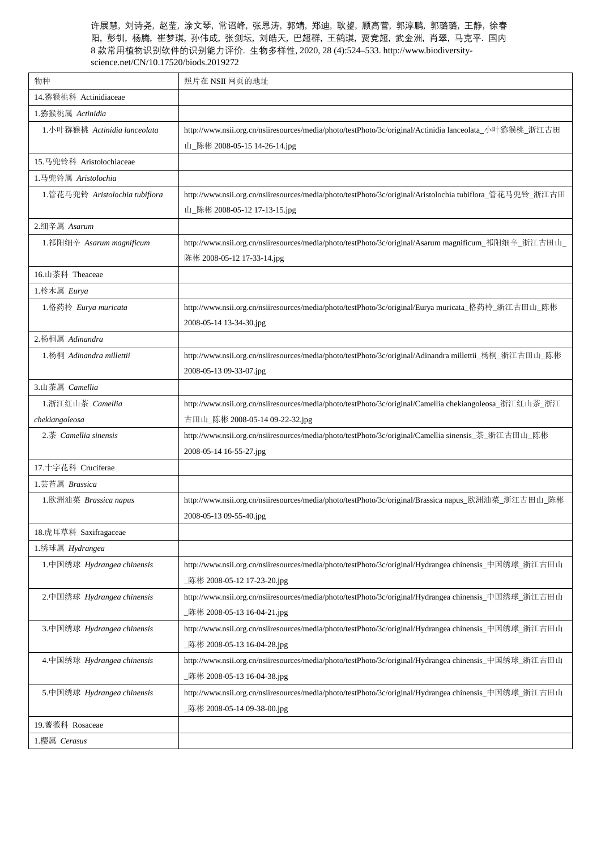| 物种                             | 照片在 NSII 网页的地址                                                                                           |
|--------------------------------|----------------------------------------------------------------------------------------------------------|
| 14.猕猴桃科 Actinidiaceae          |                                                                                                          |
| 1.猕猴桃属 Actinidia               |                                                                                                          |
| 1.小叶猕猴桃 Actinidia lanceolata   | http://www.nsii.org.cn/nsiiresources/media/photo/testPhoto/3c/original/Actinidia lanceolata_小叶猕猴桃_浙江古田   |
|                                | 山_陈彬 2008-05-15 14-26-14.jpg                                                                             |
| 15.马兜铃科 Aristolochiaceae       |                                                                                                          |
| 1.马兜铃属 Aristolochia            |                                                                                                          |
| 1.管花马兜铃 Aristolochia tubiflora | http://www.nsii.org.cn/nsiiresources/media/photo/testPhoto/3c/original/Aristolochia tubiflora_管花马兜铃_浙江古田 |
|                                | 山_陈彬 2008-05-12 17-13-15.jpg                                                                             |
| 2.细辛属 Asarum                   |                                                                                                          |
| 1.祁阳细辛 Asarum magnificum       | http://www.nsii.org.cn/nsiiresources/media/photo/testPhoto/3c/original/Asarum magnificum_祁阳细辛_浙江古田山_     |
|                                | 陈彬 2008-05-12 17-33-14.jpg                                                                               |
| 16.山茶科 Theaceae                |                                                                                                          |
| 1.柃木属 Eurya                    |                                                                                                          |
| 1.格药柃 Eurya muricata           | http://www.nsii.org.cn/nsiiresources/media/photo/testPhoto/3c/original/Eurya muricata_格药柃_浙江古田山_陈彬       |
|                                | 2008-05-14 13-34-30.jpg                                                                                  |
| 2.杨桐属 Adinandra                |                                                                                                          |
| 1.杨桐 Adinandra millettii       | http://www.nsii.org.cn/nsiiresources/media/photo/testPhoto/3c/original/Adinandra millettii_杨桐_浙江古田山_陈彬   |
|                                | 2008-05-13 09-33-07.jpg                                                                                  |
| 3.山茶属 Camellia                 |                                                                                                          |
| 1.浙江红山茶 Camellia               | http://www.nsii.org.cn/nsiiresources/media/photo/testPhoto/3c/original/Camellia chekiangoleosa_浙江红山茶_浙江  |
| chekiangoleosa                 | 古田山_陈彬 2008-05-14 09-22-32.jpg                                                                           |
| 2.茶 Camellia sinensis          | http://www.nsii.org.cn/nsiiresources/media/photo/testPhoto/3c/original/Camellia sinensis_茶_浙江古田山_陈彬      |
|                                | 2008-05-14 16-55-27.jpg                                                                                  |
| 17.十字花科 Cruciferae             |                                                                                                          |
| 1.芸苔属 Brassica                 |                                                                                                          |
| 1.欧洲油菜 Brassica napus          | http://www.nsii.org.cn/nsiiresources/media/photo/testPhoto/3c/original/Brassica napus_欧洲油菜_浙江古田山_陈彬      |
|                                | 2008-05-13 09-55-40.jpg                                                                                  |
| 18.虎耳草科 Saxifragaceae          |                                                                                                          |
| 1.绣球属 Hydrangea                |                                                                                                          |
| 1.中国绣球 Hydrangea chinensis     | http://www.nsii.org.cn/nsiiresources/media/photo/testPhoto/3c/original/Hydrangea chinensis_中国绣球_浙江古田山    |
|                                | _陈彬 2008-05-12 17-23-20.jpg                                                                              |
| 2.中国绣球 Hydrangea chinensis     | http://www.nsii.org.cn/nsiiresources/media/photo/testPhoto/3c/original/Hydrangea chinensis_中国绣球_浙江古田山    |
|                                | _陈彬 2008-05-13 16-04-21.jpg                                                                              |
| 3.中国绣球 Hydrangea chinensis     | http://www.nsii.org.cn/nsiiresources/media/photo/testPhoto/3c/original/Hydrangea chinensis_中国绣球_浙江古田山    |
|                                | _陈彬 2008-05-13 16-04-28.jpg                                                                              |
| 4.中国绣球 Hydrangea chinensis     | http://www.nsii.org.cn/nsiiresources/media/photo/testPhoto/3c/original/Hydrangea chinensis_中国绣球_浙江古田山    |
|                                | _陈彬 2008-05-13 16-04-38.jpg                                                                              |
| 5.中国绣球 Hydrangea chinensis     | http://www.nsii.org.cn/nsiiresources/media/photo/testPhoto/3c/original/Hydrangea chinensis_中国绣球_浙江古田山    |
|                                | _陈彬 2008-05-14 09-38-00.jpg                                                                              |
| 19. 蔷薇科 Rosaceae               |                                                                                                          |
| 1.樱属 Cerasus                   |                                                                                                          |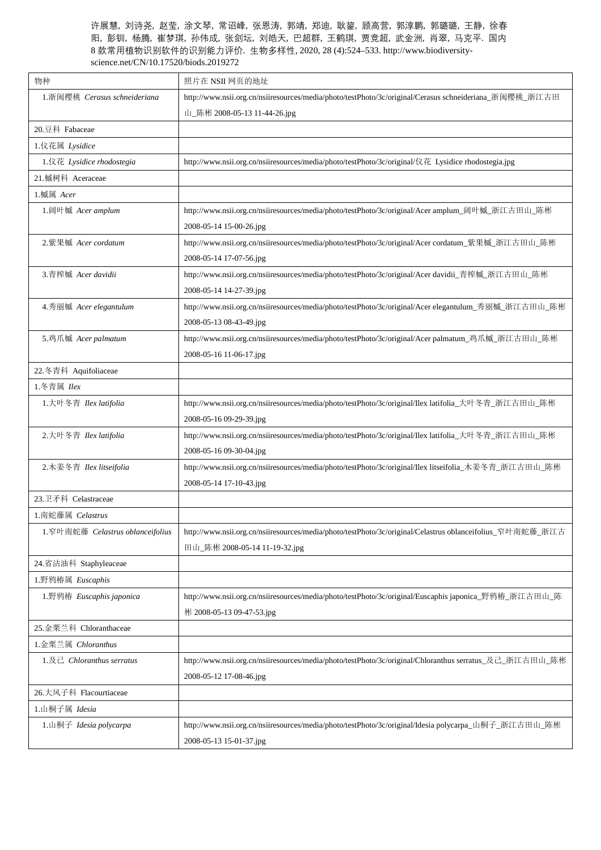| 物种                                          | 照片在 NSII 网页的地址                                                                                            |
|---------------------------------------------|-----------------------------------------------------------------------------------------------------------|
| 1. 浙闽樱桃 Cerasus schneideriana               | http://www.nsii.org.cn/nsiiresources/media/photo/testPhoto/3c/original/Cerasus schneideriana_浙闽樱桃_浙江古田    |
|                                             | 山_陈彬 2008-05-13 11-44-26.jpg                                                                              |
| 20.豆科 Fabaceae                              |                                                                                                           |
| 1.仪花属 Lysidice                              |                                                                                                           |
| 1.仪花 Lysidice rhodostegia                   | http://www.nsii.org.cn/nsiiresources/media/photo/testPhoto/3c/original/仪花 Lysidice rhodostegia.jpg        |
| 21.槭树科 Aceraceae                            |                                                                                                           |
| 1.槭属 Acer                                   |                                                                                                           |
| 1.阔叶槭 Acer amplum                           | http://www.nsii.org.cn/nsiiresources/media/photo/testPhoto/3c/original/Acer amplum_阔叶槭_浙江古田山_陈彬           |
|                                             | 2008-05-14 15-00-26.jpg                                                                                   |
| 2.紫果槭 Acer cordatum                         | http://www.nsii.org.cn/nsiiresources/media/photo/testPhoto/3c/original/Acer cordatum_紫果槭_浙江古田山_陈彬         |
|                                             | 2008-05-14 17-07-56.jpg                                                                                   |
| 3.青榨槭 Acer davidii                          | http://www.nsii.org.cn/nsiiresources/media/photo/testPhoto/3c/original/Acer davidii_青榨槭_浙江古田山_陈彬          |
|                                             | 2008-05-14 14-27-39.jpg                                                                                   |
| 4. 秀丽槭 Acer elegantulum                     | http://www.nsii.org.cn/nsiiresources/media/photo/testPhoto/3c/original/Acer elegantulum_秀丽槭_浙江古田山_陈彬      |
|                                             | 2008-05-13 08-43-49.jpg                                                                                   |
| 5.鸡爪槭 Acer palmatum                         | http://www.nsii.org.cn/nsiiresources/media/photo/testPhoto/3c/original/Acer palmatum_鸡爪槭_浙江古田山_陈彬         |
|                                             | 2008-05-16 11-06-17.jpg                                                                                   |
| 22.冬青科 Aquifoliaceae                        |                                                                                                           |
| 1.冬青属 Ilex                                  |                                                                                                           |
| 1. 大叶冬青 Ilex latifolia                      | http://www.nsii.org.cn/nsiiresources/media/photo/testPhoto/3c/original/Ilex latifolia_大叶冬青_浙江古田山_陈彬       |
|                                             | 2008-05-16 09-29-39.jpg                                                                                   |
| 2.大叶冬青 Ilex latifolia                       | http://www.nsii.org.cn/nsiiresources/media/photo/testPhoto/3c/original/Ilex latifolia_大叶冬青_浙江古田山_陈彬       |
|                                             | 2008-05-16 09-30-04.jpg                                                                                   |
| 2. 木姜冬青 Ilex litseifolia                    | http://www.nsii.org.cn/nsiiresources/media/photo/testPhoto/3c/original/Ilex litseifolia_木姜冬青_浙江古田山_陈彬     |
|                                             | 2008-05-14 17-10-43.jpg                                                                                   |
| 23.卫矛科 Celastraceae                         |                                                                                                           |
| 1.南蛇藤属 Celastrus                            |                                                                                                           |
| 1.窄叶南蛇藤 Celastrus oblanceifolius            | http://www.nsii.org.cn/nsiiresources/media/photo/testPhoto/3c/original/Celastrus oblanceifolius_窄叶南蛇藤_浙江古 |
|                                             | 田山_陈彬 2008-05-14 11-19-32.jpg                                                                             |
| 24.省沽油科 Staphyleaceae                       |                                                                                                           |
| 1.野鸦椿属 Euscaphis                            |                                                                                                           |
| 1.野鸦椿 Euscaphis japonica                    | http://www.nsii.org.cn/nsiiresources/media/photo/testPhoto/3c/original/Euscaphis japonica_野鸦椿_浙江古田山_陈     |
|                                             | 彬 2008-05-13 09-47-53.jpg                                                                                 |
| 25. 金栗兰科 Chloranthaceae                     |                                                                                                           |
| 1.金栗兰属 Chloranthus                          |                                                                                                           |
| 1. $R \nightharpoonup$ Chloranthus serratus | http://www.nsii.org.cn/nsiiresources/media/photo/testPhoto/3c/original/Chloranthus serratus_及己_浙江古田山_陈彬   |
|                                             | 2008-05-12 17-08-46.jpg                                                                                   |
| 26.大风子科 Flacourtiaceae                      |                                                                                                           |
| 1.山桐子属 Idesia                               |                                                                                                           |
| 1.山桐子 Idesia polycarpa                      | http://www.nsii.org.cn/nsiiresources/media/photo/testPhoto/3c/original/Idesia polycarpa_山桐子_浙江古田山_陈彬      |
|                                             | 2008-05-13 15-01-37.jpg                                                                                   |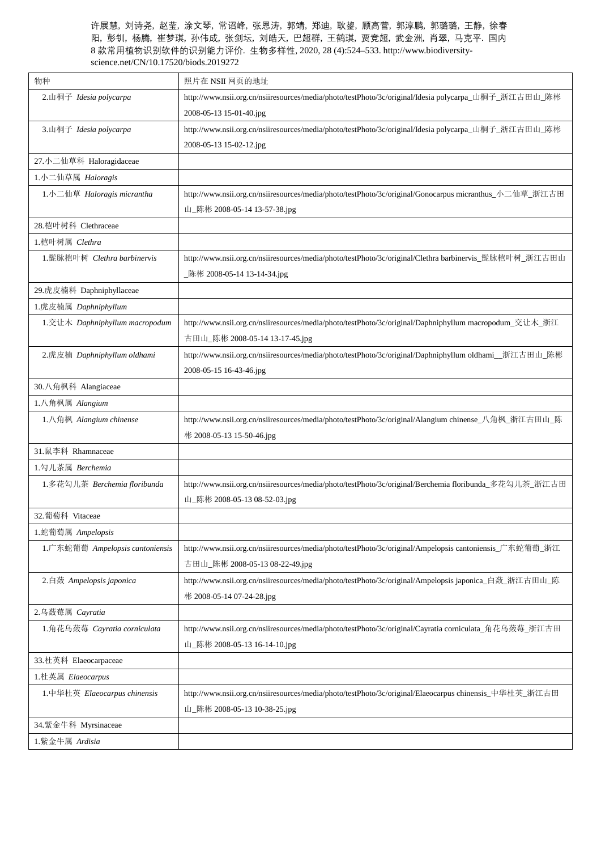| 物种                              | 照片在 NSII 网页的地址                                                                                          |
|---------------------------------|---------------------------------------------------------------------------------------------------------|
| 2.山桐子 Idesia polycarpa          | http://www.nsii.org.cn/nsiiresources/media/photo/testPhoto/3c/original/Idesia polycarpa_山桐子_浙江古田山_陈彬    |
|                                 | 2008-05-13 15-01-40.jpg                                                                                 |
| 3.山桐子 Idesia polycarpa          | http://www.nsii.org.cn/nsiiresources/media/photo/testPhoto/3c/original/Idesia polycarpa_山桐子_浙江古田山_陈彬    |
|                                 | 2008-05-13 15-02-12.jpg                                                                                 |
| 27.小二仙草科 Haloragidaceae         |                                                                                                         |
| 1.小二仙草属 Haloragis               |                                                                                                         |
| 1.小二仙草 Haloragis micrantha      | http://www.nsii.org.cn/nsiiresources/media/photo/testPhoto/3c/original/Gonocarpus micranthus_小二仙草_浙江古田  |
|                                 | 山_陈彬 2008-05-14 13-57-38.jpg                                                                            |
| 28.桤叶树科 Clethraceae             |                                                                                                         |
| 1.桤叶树属 Clethra                  |                                                                                                         |
| 1.髭脉桤叶树 Clethra barbinervis     | http://www.nsii.org.cn/nsiiresources/media/photo/testPhoto/3c/original/Clethra barbinervis_髭脉桤叶树_浙江古田山  |
|                                 | _陈彬 2008-05-14 13-14-34.jpg                                                                             |
| 29.虎皮楠科 Daphniphyllaceae        |                                                                                                         |
| 1.虎皮楠属 Daphniphyllum            |                                                                                                         |
| 1.交让木 Daphniphyllum macropodum  | http://www.nsii.org.cn/nsiiresources/media/photo/testPhoto/3c/original/Daphniphyllum macropodum_交让木_浙江  |
|                                 | 古田山_陈彬 2008-05-14 13-17-45.jpg                                                                          |
| 2.虎皮楠 Daphniphyllum oldhami     | http://www.nsii.org.cn/nsiiresources/media/photo/testPhoto/3c/original/Daphniphyllum oldhami__浙江古田山_陈彬  |
|                                 | 2008-05-15 16-43-46.jpg                                                                                 |
| 30.八角枫科 Alangiaceae             |                                                                                                         |
| 1.八角枫属 Alangium                 |                                                                                                         |
| 1.八角枫 Alangium chinense         | http://www.nsii.org.cn/nsiiresources/media/photo/testPhoto/3c/original/Alangium chinense_八角枫_浙江古田山_陈    |
|                                 | 彬 2008-05-13 15-50-46.jpg                                                                               |
| 31.鼠李科 Rhamnaceae               |                                                                                                         |
| 1.勾儿茶属 Berchemia                |                                                                                                         |
| 1.多花勾儿茶 Berchemia floribunda    | http://www.nsii.org.cn/nsiiresources/media/photo/testPhoto/3c/original/Berchemia floribunda_多花勾儿茶_浙江古田  |
|                                 | 山_陈彬 2008-05-13 08-52-03.jpg                                                                            |
| 32.葡萄科 Vitaceae                 |                                                                                                         |
| 1.蛇葡萄属 Ampelopsis               |                                                                                                         |
| 1.广东蛇葡萄 Ampelopsis cantoniensis | http://www.nsii.org.cn/nsiiresources/media/photo/testPhoto/3c/original/Ampelopsis cantoniensis_广东蛇葡萄_浙江 |
|                                 | 古田山_陈彬 2008-05-13 08-22-49.jpg                                                                          |
| 2.白蔹 Ampelopsis japonica        | http://www.nsii.org.cn/nsiiresources/media/photo/testPhoto/3c/original/Ampelopsis japonica_白蔹_浙江古田山_陈   |
|                                 | 彬 2008-05-14 07-24-28.jpg                                                                               |
| 2.乌蔹莓属 Cayratia                 |                                                                                                         |
| 1.角花乌蔹莓 Cayratia corniculata    | http://www.nsii.org.cn/nsiiresources/media/photo/testPhoto/3c/original/Cayratia corniculata_角花乌蔹莓_浙江古田  |
|                                 | 山_陈彬 2008-05-13 16-14-10.jpg                                                                            |
| 33.杜英科 Elaeocarpaceae           |                                                                                                         |
| 1.杜英属 Elaeocarpus               |                                                                                                         |
| 1.中华杜英 Elaeocarpus chinensis    | http://www.nsii.org.cn/nsiiresources/media/photo/testPhoto/3c/original/Elaeocarpus chinensis_中华杜英_浙江古田  |
|                                 | 山_陈彬 2008-05-13 10-38-25.jpg                                                                            |
| 34.紫金牛科 Myrsinaceae             |                                                                                                         |
|                                 |                                                                                                         |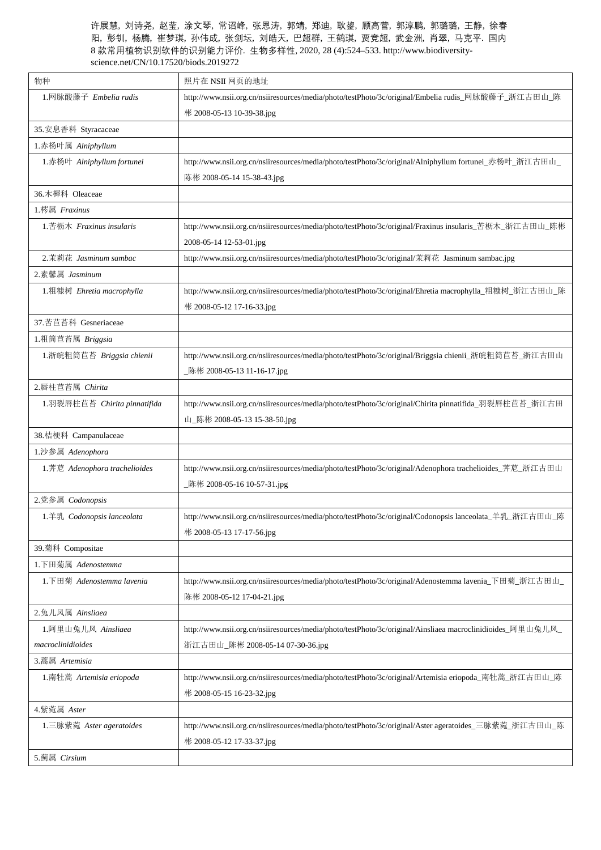| 物种                            | 照片在 NSII 网页的地址                                                                                            |
|-------------------------------|-----------------------------------------------------------------------------------------------------------|
| 1.网脉酸藤子 Embelia rudis         | http://www.nsii.org.cn/nsiiresources/media/photo/testPhoto/3c/original/Embelia rudis_网脉酸藤子_浙江古田山_陈        |
|                               | 彬 2008-05-13 10-39-38.jpg                                                                                 |
| 35.安息香科 Styracaceae           |                                                                                                           |
| 1.赤杨叶属 Alniphyllum            |                                                                                                           |
| 1. 赤杨叶 Alniphyllum fortunei   | http://www.nsii.org.cn/nsiiresources/media/photo/testPhoto/3c/original/Alniphyllum fortunei_赤杨叶_浙江古田山_    |
|                               | 陈彬 2008-05-14 15-38-43.jpg                                                                                |
| 36.木樨科 Oleaceae               |                                                                                                           |
| 1.梣属 Fraxinus                 |                                                                                                           |
| 1.苦枥木 Fraxinus insularis      | http://www.nsii.org.cn/nsiiresources/media/photo/testPhoto/3c/original/Fraxinus insularis_苦枥木_浙江古田山_陈彬    |
|                               | 2008-05-14 12-53-01.jpg                                                                                   |
| 2.茉莉花 Jasminum sambac         | http://www.nsii.org.cn/nsiiresources/media/photo/testPhoto/3c/original/茉莉花 Jasminum sambac.jpg            |
| 2.素馨属 Jasminum                |                                                                                                           |
| 1.粗糠树 Ehretia macrophylla     | http://www.nsii.org.cn/nsiiresources/media/photo/testPhoto/3c/original/Ehretia macrophylla_粗糠树_浙江古田山_陈    |
|                               | 彬 2008-05-12 17-16-33.jpg                                                                                 |
| 37.苦苣苔科 Gesneriaceae          |                                                                                                           |
| 1.粗筒苣苔属 Briggsia              |                                                                                                           |
| 1.浙皖粗筒苣苔 Briggsia chienii     | http://www.nsii.org.cn/nsiiresources/media/photo/testPhoto/3c/original/Briggsia chienii_浙皖粗筒苣苔_浙江古田山      |
|                               | _陈彬 2008-05-13 11-16-17.jpg                                                                               |
| 2.唇柱苣苔属 Chirita               |                                                                                                           |
| 1.羽裂唇柱苣苔 Chirita pinnatifida  | http://www.nsii.org.cn/nsiiresources/media/photo/testPhoto/3c/original/Chirita pinnatifida_羽裂唇柱苣苔_浙江古田    |
|                               | 山_陈彬 2008-05-13 15-38-50.jpg                                                                              |
| 38.桔梗科 Campanulaceae          |                                                                                                           |
| 1.沙参属 Adenophora              |                                                                                                           |
| 1.荠苨 Adenophora trachelioides | http://www.nsii.org.cn/nsiiresources/media/photo/testPhoto/3c/original/Adenophora trachelioides_荠苨_浙江古田山  |
|                               | _陈彬 2008-05-16 10-57-31.jpg                                                                               |
| 2.党参属 Codonopsis              |                                                                                                           |
| 1. 羊乳 Codonopsis lanceolata   | http://www.nsii.org.cn/nsiiresources/media/photo/testPhoto/3c/original/Codonopsis lanceolata_羊乳_浙江古田山_陈   |
|                               | 彬 2008-05-13 17-17-56.jpg                                                                                 |
| 39.菊科 Compositae              |                                                                                                           |
| 1. 下田菊属 Adenostemma           |                                                                                                           |
| 1. 下田菊 Adenostemma lavenia    | http://www.nsii.org.cn/nsiiresources/media/photo/testPhoto/3c/original/Adenostemma lavenia_下田菊_浙江古田山_     |
|                               | 陈彬 2008-05-12 17-04-21.jpg                                                                                |
| 2.兔儿风属 Ainsliaea              |                                                                                                           |
| 1.阿里山兔儿风 Ainsliaea            | http://www.nsii.org.cn/nsiiresources/media/photo/testPhoto/3c/original/Ainsliaea macroclinidioides_阿里山兔儿风 |
| macroclinidioides             | 浙江古田山_陈彬 2008-05-14 07-30-36.jpg                                                                          |
| 3. 蒿属 Artemisia               |                                                                                                           |
| 1. 南牡蒿 Artemisia eriopoda     | http://www.nsii.org.cn/nsiiresources/media/photo/testPhoto/3c/original/Artemisia eriopoda_南牡蒿_浙江古田山_陈     |
|                               | 彬 2008-05-15 16-23-32.jpg                                                                                 |
| 4.紫菀属 Aster                   |                                                                                                           |
| 1.三脉紫菀 Aster ageratoides      | http://www.nsii.org.cn/nsiiresources/media/photo/testPhoto/3c/original/Aster ageratoides_三脉紫菀_浙江古田山_陈     |
|                               | 彬 2008-05-12 17-33-37.jpg                                                                                 |
| 5.蓟属 Cirsium                  |                                                                                                           |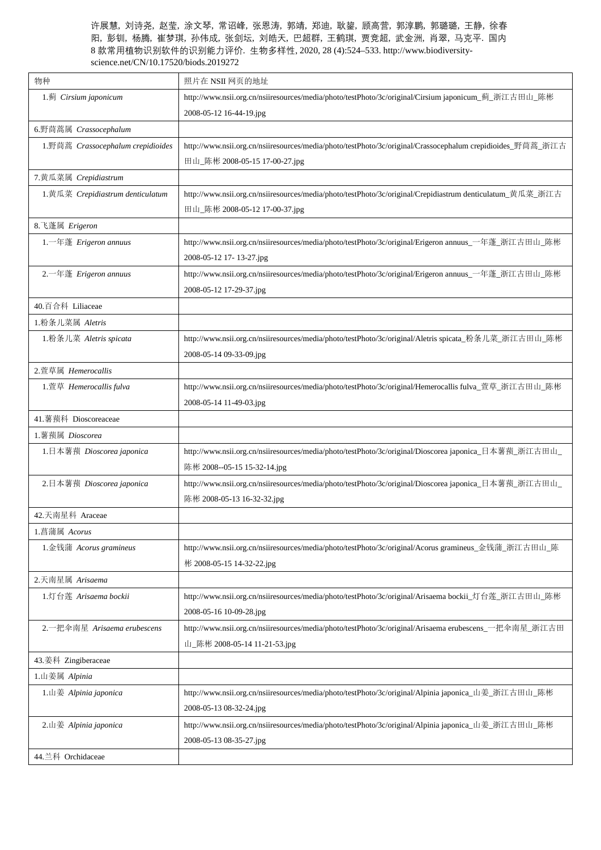| 物种                                | 照片在 NSII 网页的地址                                                                                             |
|-----------------------------------|------------------------------------------------------------------------------------------------------------|
| 1.蓟 Cirsium japonicum             | http://www.nsii.org.cn/nsiiresources/media/photo/testPhoto/3c/original/Cirsium japonicum_蓟_浙江古田山_陈彬        |
|                                   | 2008-05-12 16-44-19.jpg                                                                                    |
| 6.野茼蒿属 Crassocephalum             |                                                                                                            |
| 1.野茼蒿 Crassocephalum crepidioides | http://www.nsii.org.cn/nsiiresources/media/photo/testPhoto/3c/original/Crassocephalum crepidioides_野茼蒿_浙江古 |
|                                   | 田山_陈彬 2008-05-15 17-00-27.jpg                                                                              |
| 7.黄瓜菜属 Crepidiastrum              |                                                                                                            |
| 1. 黄瓜菜 Crepidiastrum denticulatum | http://www.nsii.org.cn/nsiiresources/media/photo/testPhoto/3c/original/Crepidiastrum denticulatum_黄瓜菜_浙江古  |
|                                   | 田山_陈彬 2008-05-12 17-00-37.jpg                                                                              |
| 8. 飞蓬属 Erigeron                   |                                                                                                            |
| $1.$ 一年蓬 Erigeron annuus          | http://www.nsii.org.cn/nsiiresources/media/photo/testPhoto/3c/original/Erigeron annuus_一年蓬_浙江古田山_陈彬        |
|                                   | 2008-05-12 17-13-27.jpg                                                                                    |
| 2. 一年蓬 Erigeron annuus            | http://www.nsii.org.cn/nsiiresources/media/photo/testPhoto/3c/original/Erigeron annuus_一年蓬_浙江古田山_陈彬        |
|                                   | 2008-05-12 17-29-37.jpg                                                                                    |
| 40.百合科 Liliaceae                  |                                                                                                            |
| 1.粉条儿菜属 Aletris                   |                                                                                                            |
| 1.粉条儿菜 Aletris spicata            | http://www.nsii.org.cn/nsiiresources/media/photo/testPhoto/3c/original/Aletris spicata_粉条儿菜_浙江古田山_陈彬       |
|                                   | 2008-05-14 09-33-09.jpg                                                                                    |
| 2.萱草属 Hemerocallis                |                                                                                                            |
| 1.萱草 Hemerocallis fulva           | http://www.nsii.org.cn/nsiiresources/media/photo/testPhoto/3c/original/Hemerocallis fulva_萱草_浙江古田山_陈彬      |
|                                   | 2008-05-14 11-49-03.jpg                                                                                    |
| 41.薯蓣科 Dioscoreaceae              |                                                                                                            |
| 1.薯蓣属 Dioscorea                   |                                                                                                            |
| 1.日本薯蓣 Dioscorea japonica         | http://www.nsii.org.cn/nsiiresources/media/photo/testPhoto/3c/original/Dioscorea japonica_日本薯蓣_浙江古田山_      |
|                                   | 陈彬 2008--05-15 15-32-14.jpg                                                                                |
| 2.日本薯蓣 Dioscorea japonica         | http://www.nsii.org.cn/nsiiresources/media/photo/testPhoto/3c/original/Dioscorea japonica_日本薯蓣_浙江古田山_      |
|                                   | 陈彬 2008-05-13 16-32-32.jpg                                                                                 |
| 42.天南星科 Araceae                   |                                                                                                            |
| 1.菖蒲属 Acorus                      |                                                                                                            |
| 1.金钱蒲 Acorus gramineus            | http://www.nsii.org.cn/nsiiresources/media/photo/testPhoto/3c/original/Acorus gramineus_金钱蒲_浙江古田山_陈        |
|                                   | 彬 2008-05-15 14-32-22.jpg                                                                                  |
| 2.天南星属 Arisaema                   |                                                                                                            |
| 1.灯台莲 Arisaema bockii             | http://www.nsii.org.cn/nsiiresources/media/photo/testPhoto/3c/original/Arisaema bockii_灯台莲_浙江古田山_陈彬        |
|                                   | 2008-05-16 10-09-28.jpg                                                                                    |
| 2. 一把伞南星 Arisaema erubescens      | http://www.nsii.org.cn/nsiiresources/media/photo/testPhoto/3c/original/Arisaema erubescens_一把伞南星_浙江古田      |
|                                   | 山_陈彬 2008-05-14 11-21-53.jpg                                                                               |
| 43.姜科 Zingiberaceae               |                                                                                                            |
| 1.山姜属 Alpinia                     |                                                                                                            |
| 1.山姜 Alpinia japonica             | http://www.nsii.org.cn/nsiiresources/media/photo/testPhoto/3c/original/Alpinia japonica_山姜_浙江古田山_陈彬        |
|                                   | 2008-05-13 08-32-24.jpg                                                                                    |
| 2.山姜 Alpinia japonica             | http://www.nsii.org.cn/nsiiresources/media/photo/testPhoto/3c/original/Alpinia japonica_山姜_浙江古田山_陈彬        |
|                                   | 2008-05-13 08-35-27.jpg                                                                                    |
| 44.兰科 Orchidaceae                 |                                                                                                            |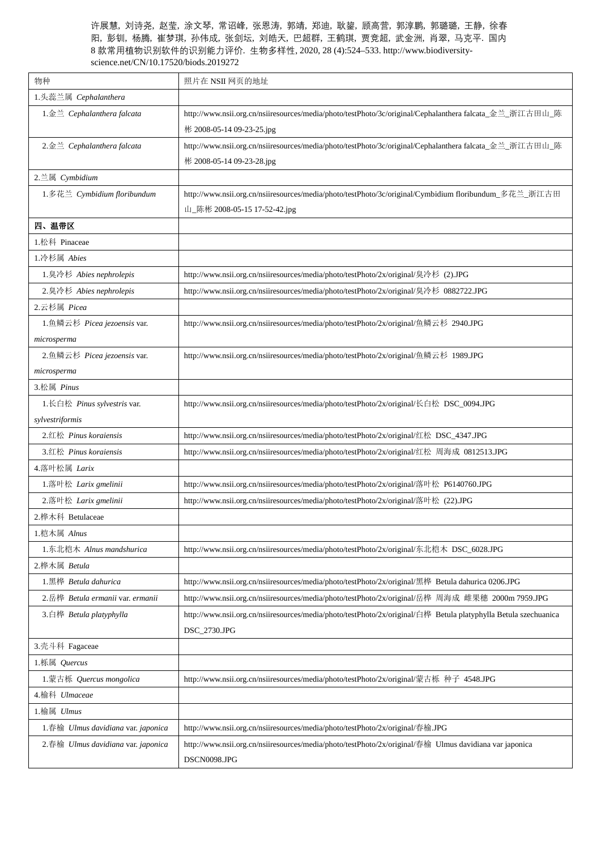| 物种                                                                                                                                          | 照片在 NSII 网页的地址                                                                                                  |
|---------------------------------------------------------------------------------------------------------------------------------------------|-----------------------------------------------------------------------------------------------------------------|
| 1.头蕊兰属 Cephalanthera                                                                                                                        |                                                                                                                 |
| 1. 金兰 Cephalanthera falcata                                                                                                                 | http://www.nsii.org.cn/nsiiresources/media/photo/testPhoto/3c/original/Cephalanthera falcata_金兰_浙江古田山_陈         |
|                                                                                                                                             | 彬 2008-05-14 09-23-25.jpg                                                                                       |
| $2.\n  2.② \n  2.③ \n  2.③ \n  2.③ \n  2.③ \n  2.③ \n  3.③ \n  3.③ \n  3.③ \n  3.③ \n  3.③ \n  3.③ \n  3.③ \n  3.③ \n  3.③ \n  3.③ \n  3.③$ | http://www.nsii.org.cn/nsiiresources/media/photo/testPhoto/3c/original/Cephalanthera falcata_金兰_浙江古田山_陈         |
|                                                                                                                                             | 彬 2008-05-14 09-23-28.jpg                                                                                       |
| 2.兰属 Cymbidium                                                                                                                              |                                                                                                                 |
| 1.多花兰 Cymbidium floribundum                                                                                                                 | http://www.nsii.org.cn/nsiiresources/media/photo/testPhoto/3c/original/Cymbidium floribundum_多花兰_浙江古田           |
|                                                                                                                                             | 山_陈彬 2008-05-15 17-52-42.jpg                                                                                    |
| 四、温带区                                                                                                                                       |                                                                                                                 |
| 1.松科 Pinaceae                                                                                                                               |                                                                                                                 |
| 1.冷杉属 Abies                                                                                                                                 |                                                                                                                 |
| 1.臭冷杉 Abies nephrolepis                                                                                                                     | http://www.nsii.org.cn/nsiiresources/media/photo/testPhoto/2x/original/臭冷杉 (2).JPG                              |
| 2.臭冷杉 Abies nephrolepis                                                                                                                     | http://www.nsii.org.cn/nsiiresources/media/photo/testPhoto/2x/original/臭冷杉 0882722.JPG                          |
| 2.云杉属 Picea                                                                                                                                 |                                                                                                                 |
| 1.鱼鳞云杉 Picea jezoensis var.                                                                                                                 | http://www.nsii.org.cn/nsiiresources/media/photo/testPhoto/2x/original/鱼鳞云杉 2940.JPG                            |
| microsperma                                                                                                                                 |                                                                                                                 |
| 2.鱼鳞云杉 Picea jezoensis var.                                                                                                                 | http://www.nsii.org.cn/nsiiresources/media/photo/testPhoto/2x/original/鱼鳞云杉 1989.JPG                            |
| microsperma                                                                                                                                 |                                                                                                                 |
| 3.松属 Pinus                                                                                                                                  |                                                                                                                 |
| 1.长白松 Pinus sylvestris var.                                                                                                                 | http://www.nsii.org.cn/nsiiresources/media/photo/testPhoto/2x/original/长白松 DSC_0094.JPG                         |
| sylvestriformis                                                                                                                             |                                                                                                                 |
| 2.红松 Pinus koraiensis                                                                                                                       | http://www.nsii.org.cn/nsiiresources/media/photo/testPhoto/2x/original/红松 DSC_4347.JPG                          |
| 3.红松 Pinus koraiensis                                                                                                                       | http://www.nsii.org.cn/nsiiresources/media/photo/testPhoto/2x/original/红松 周海成 0812513.JPG                       |
| 4. 落叶松属 Larix                                                                                                                               |                                                                                                                 |
| 1. 落叶松 Larix gmelinii                                                                                                                       | http://www.nsii.org.cn/nsiiresources/media/photo/testPhoto/2x/original/落叶松 P6140760.JPG                         |
| 2.落叶松 Larix gmelinii                                                                                                                        | http://www.nsii.org.cn/nsiiresources/media/photo/testPhoto/2x/original/落叶松 (22).JPG                             |
| 2.桦木科 Betulaceae                                                                                                                            |                                                                                                                 |
| 1.桤木属 Alnus                                                                                                                                 |                                                                                                                 |
| 1. 东北桤木 Alnus mandshurica                                                                                                                   | http://www.nsii.org.cn/nsiiresources/media/photo/testPhoto/2x/original/东北桤木 DSC_6028.JPG                        |
| 2.桦木属 Betula                                                                                                                                |                                                                                                                 |
| 1.黑桦 Betula dahurica                                                                                                                        | http://www.nsii.org.cn/nsiiresources/media/photo/testPhoto/2x/original/黑桦 Betula dahurica 0206.JPG              |
| 2.岳桦 Betula ermanii var. ermanii                                                                                                            | http://www.nsii.org.cn/nsiiresources/media/photo/testPhoto/2x/original/岳桦 周海成 雌果穗 2000m 7959.JPG                |
| 3.白桦 Betula platyphylla                                                                                                                     | http://www.nsii.org.cn/nsiiresources/media/photo/testPhoto/2x/original/白桦 Betula platyphylla Betula szechuanica |
|                                                                                                                                             | DSC_2730.JPG                                                                                                    |
| 3.壳斗科 Fagaceae                                                                                                                              |                                                                                                                 |
| 1.栎属 Quercus                                                                                                                                |                                                                                                                 |
| 1.蒙古栎 Quercus mongolica                                                                                                                     | http://www.nsii.org.cn/nsiiresources/media/photo/testPhoto/2x/original/蒙古栎 种子 4548.JPG                          |
| 4.榆科 Ulmaceae                                                                                                                               |                                                                                                                 |
| 1.榆属 Ulmus                                                                                                                                  |                                                                                                                 |
| 1.春榆 Ulmus davidiana var. japonica                                                                                                          | http://www.nsii.org.cn/nsiiresources/media/photo/testPhoto/2x/original/春榆.JPG                                   |
| 2.春榆 Ulmus davidiana var. japonica                                                                                                          | http://www.nsii.org.cn/nsiiresources/media/photo/testPhoto/2x/original/春榆 Ulmus davidiana var japonica          |
|                                                                                                                                             | DSCN0098.JPG                                                                                                    |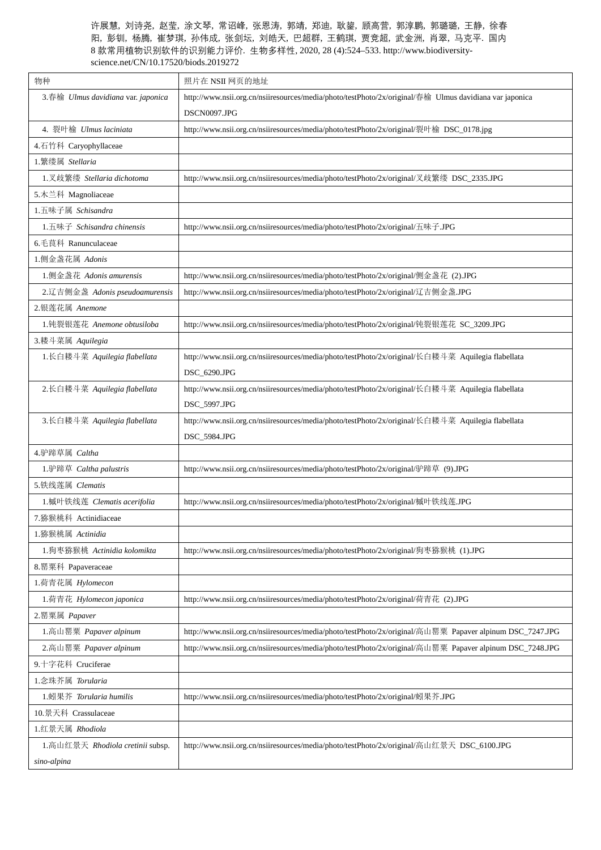| 物种                                               | 照片在 NSII 网页的地址                                                                                           |
|--------------------------------------------------|----------------------------------------------------------------------------------------------------------|
| 3.春榆 Ulmus davidiana var. japonica               | http://www.nsii.org.cn/nsiiresources/media/photo/testPhoto/2x/original/春榆 Ulmus davidiana var japonica   |
|                                                  | DSCN0097.JPG                                                                                             |
| 4. 裂叶榆 Ulmus laciniata                           | http://www.nsii.org.cn/nsiiresources/media/photo/testPhoto/2x/original/裂叶榆 DSC_0178.jpg                  |
| 4.石竹科 Caryophyllaceae                            |                                                                                                          |
| 1.繁缕属 Stellaria                                  |                                                                                                          |
| 1.叉歧繁缕 Stellaria dichotoma                       | http://www.nsii.org.cn/nsiiresources/media/photo/testPhoto/2x/original/叉歧繁缕 DSC_2335.JPG                 |
| 5.木兰科 Magnoliaceae                               |                                                                                                          |
| 1.五味子属 Schisandra                                |                                                                                                          |
| $1. \overline{\text{H}}$ 味子 Schisandra chinensis | http://www.nsii.org.cn/nsiiresources/media/photo/testPhoto/2x/original/五味子.JPG                           |
| 6.毛茛科 Ranunculaceae                              |                                                                                                          |
| 1.侧金盏花属 Adonis                                   |                                                                                                          |
| 1.侧金盏花 Adonis amurensis                          | http://www.nsii.org.cn/nsiiresources/media/photo/testPhoto/2x/original/侧金盏花 (2).JPG                      |
| 2.辽吉侧金盏 Adonis pseudoamurensis                   | http://www.nsii.org.cn/nsiiresources/media/photo/testPhoto/2x/original/辽吉侧金盏.JPG                         |
| 2.银莲花属 Anemone                                   |                                                                                                          |
| 1.钝裂银莲花 Anemone obtusiloba                       | http://www.nsii.org.cn/nsiiresources/media/photo/testPhoto/2x/original/钝裂银莲花 SC_3209.JPG                 |
| 3.耧斗菜属 Aquilegia                                 |                                                                                                          |
| 1.长白耧斗菜 Aquilegia flabellata                     | http://www.nsii.org.cn/nsiiresources/media/photo/testPhoto/2x/original/长白耧斗菜 Aquilegia flabellata        |
|                                                  | DSC_6290.JPG                                                                                             |
| 2.长白耧斗菜 Aquilegia flabellata                     | http://www.nsii.org.cn/nsiiresources/media/photo/testPhoto/2x/original/长白耧斗菜 Aquilegia flabellata        |
|                                                  | DSC_5997.JPG                                                                                             |
| 3.长白耧斗菜 Aquilegia flabellata                     | http://www.nsii.org.cn/nsiiresources/media/photo/testPhoto/2x/original/长白耧斗菜 Aquilegia flabellata        |
|                                                  | DSC_5984.JPG                                                                                             |
| 4.驴蹄草属 Caltha                                    |                                                                                                          |
| 1.驴蹄草 Caltha palustris                           | http://www.nsii.org.cn/nsiiresources/media/photo/testPhoto/2x/original/驴蹄草 (9).JPG                       |
| 5.铁线莲属 Clematis                                  |                                                                                                          |
| 1.槭叶铁线莲 Clematis acerifolia                      | http://www.nsii.org.cn/nsiiresources/media/photo/testPhoto/2x/original/槭叶铁线莲.JPG                         |
| 7.猕猴桃科 Actinidiaceae                             |                                                                                                          |
| 1.猕猴桃属 Actinidia                                 |                                                                                                          |
| 1.狗枣猕猴桃 Actinidia kolomikta                      | http://www.nsii.org.cn/nsiiresources/media/photo/testPhoto/2x/original/狗枣猕猴桃 (1).JPG                     |
| 8. 罂粟科 Papaveraceae                              |                                                                                                          |
| 1.荷青花属 Hylomecon                                 |                                                                                                          |
| 1.荷青花 Hylomecon japonica                         | http://www.nsii.org.cn/nsiiresources/media/photo/testPhoto/2x/original/荷青花 (2).JPG                       |
| 2. 罂粟属 Papaver                                   |                                                                                                          |
| 1. 高山罂粟 Papaver alpinum                          | http://www.nsii.org.cn/nsiiresources/media/photo/testPhoto/2x/original/高山罂粟 Papaver alpinum DSC_7247.JPG |
| 2. 高山罂粟 Papaver alpinum                          | http://www.nsii.org.cn/nsiiresources/media/photo/testPhoto/2x/original/高山罂粟 Papaver alpinum DSC_7248.JPG |
| 9.十字花科 Cruciferae                                |                                                                                                          |
| 1. 念珠芥属 Torularia                                |                                                                                                          |
| 1.蚓果芥 Torularia humilis                          | http://www.nsii.org.cn/nsiiresources/media/photo/testPhoto/2x/original/蚓果芥.JPG                           |
| 10.景天科 Crassulaceae                              |                                                                                                          |
| 1.红景天属 Rhodiola                                  |                                                                                                          |
| 1. 高山红景天 Rhodiola cretinii subsp.                | http://www.nsii.org.cn/nsiiresources/media/photo/testPhoto/2x/original/高山红景天 DSC_6100.JPG                |
| sino-alpina                                      |                                                                                                          |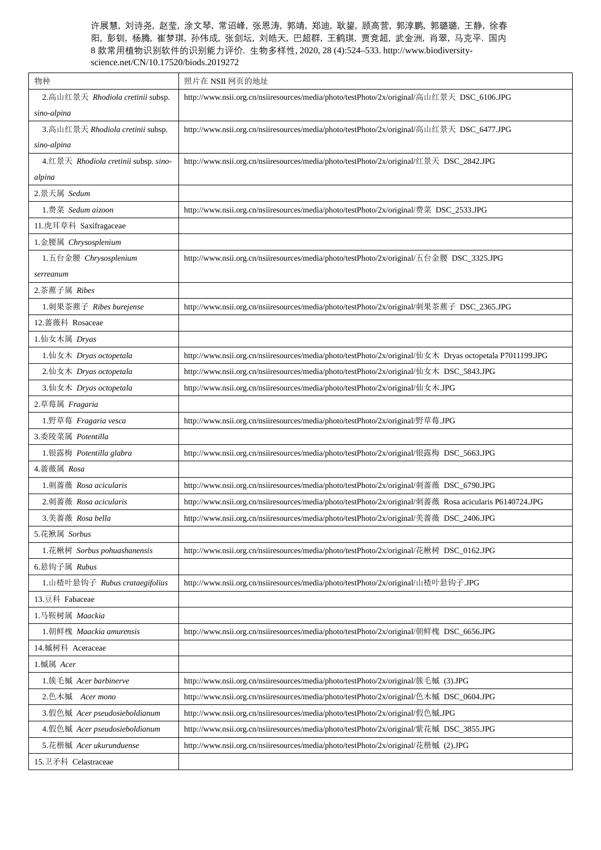| 物种                                   | 照片在 NSII 网页的地址                                                                                           |
|--------------------------------------|----------------------------------------------------------------------------------------------------------|
| 2. 高山红景天 Rhodiola cretinii subsp.    | http://www.nsii.org.cn/nsiiresources/media/photo/testPhoto/2x/original/高山红景天 DSC_6106.JPG                |
| sino-alpina                          |                                                                                                          |
| 3. 高山红景天 Rhodiola cretinii subsp.    | http://www.nsii.org.cn/nsiiresources/media/photo/testPhoto/2x/original/高山红景天 DSC_6477.JPG                |
| sino-alpina                          |                                                                                                          |
| 4.红景天 Rhodiola cretinii subsp. sino- | http://www.nsii.org.cn/nsiiresources/media/photo/testPhoto/2x/original/红景天 DSC_2842.JPG                  |
| alpina                               |                                                                                                          |
| 2.景天属 Sedum                          |                                                                                                          |
| 1. 费菜 Sedum aizoon                   | http://www.nsii.org.cn/nsiiresources/media/photo/testPhoto/2x/original/费菜 DSC_2533.JPG                   |
| 11.虎耳草科 Saxifragaceae                |                                                                                                          |
| 1.金腰属 Chrysosplenium                 |                                                                                                          |
| 1.五台金腰 Chrysosplenium                | http://www.nsii.org.cn/nsiiresources/media/photo/testPhoto/2x/original/五台金腰 DSC_3325.JPG                 |
| serreanum                            |                                                                                                          |
| 2.茶藨子属 Ribes                         |                                                                                                          |
| 1.刺果茶藨子 Ribes burejense              | http://www.nsii.org.cn/nsiiresources/media/photo/testPhoto/2x/original/刺果茶藨子 DSC_2365.JPG                |
| 12. 蔷薇科 Rosaceae                     |                                                                                                          |
| 1.仙女木属 Dryas                         |                                                                                                          |
| 1.仙女木 Dryas octopetala               | http://www.nsii.org.cn/nsiiresources/media/photo/testPhoto/2x/original/仙女木 Dryas octopetala P7011199.JPG |
| 2.仙女木 Dryas octopetala               | http://www.nsii.org.cn/nsiiresources/media/photo/testPhoto/2x/original/仙女木 DSC_5843.JPG                  |
| 3.仙女木 Dryas octopetala               | http://www.nsii.org.cn/nsiiresources/media/photo/testPhoto/2x/original/仙女木.JPG                           |
| 2.草莓属 Fragaria                       |                                                                                                          |
| 1.野草莓 Fragaria vesca                 | http://www.nsii.org.cn/nsiiresources/media/photo/testPhoto/2x/original/野草莓.JPG                           |
| 3.委陵菜属 Potentilla                    |                                                                                                          |
| 1.银露梅 Potentilla glabra              | http://www.nsii.org.cn/nsiiresources/media/photo/testPhoto/2x/original/银露梅 DSC_5663.JPG                  |
| 4.蔷薇属 Rosa                           |                                                                                                          |
| 1. 刺蔷薇 Rosa acicularis               | http://www.nsii.org.cn/nsiiresources/media/photo/testPhoto/2x/original/刺蔷薇 DSC_6790.JPG                  |
| 2. 刺蔷薇 Rosa acicularis               | http://www.nsii.org.cn/nsiiresources/media/photo/testPhoto/2x/original/刺蔷薇 Rosa acicularis P6140724.JPG  |
| 3.美蔷薇 Rosa bella                     | http://www.nsii.org.cn/nsiiresources/media/photo/testPhoto/2x/original/美蔷薇 DSC_2406.JPG                  |
| 5.花揪属 Sorbus                         |                                                                                                          |
| 1.花楸树 Sorbus pohuashanensis          | http://www.nsii.org.cn/nsiiresources/media/photo/testPhoto/2x/original/花楸树 DSC_0162.JPG                  |
| 6.悬钩子属 Rubus                         |                                                                                                          |
| 1.山楂叶悬钩子 Rubus crataegifolius        | http://www.nsii.org.cn/nsiiresources/media/photo/testPhoto/2x/original/山楂叶悬钩子.JPG                        |
| 13.豆科 Fabaceae                       |                                                                                                          |
| 1.马鞍树属 Maackia                       |                                                                                                          |
| 1.朝鲜槐 Maackia amurensis              | http://www.nsii.org.cn/nsiiresources/media/photo/testPhoto/2x/original/朝鲜槐 DSC_6656.JPG                  |
| 14.槭树科 Aceraceae                     |                                                                                                          |
| 1.槭属 Acer                            |                                                                                                          |
| 1.簇毛槭 Acer barbinerve                | http://www.nsii.org.cn/nsiiresources/media/photo/testPhoto/2x/original/簇毛槭 (3).JPG                       |
| 2.色木槭 Acer mono                      | http://www.nsii.org.cn/nsiiresources/media/photo/testPhoto/2x/original/色木槭 DSC_0604.JPG                  |
| 3.假色槭 Acer pseudosieboldianum        | http://www.nsii.org.cn/nsiiresources/media/photo/testPhoto/2x/original/假色槭.JPG                           |
| 4.假色槭 Acer pseudosieboldianum        | http://www.nsii.org.cn/nsiiresources/media/photo/testPhoto/2x/original/紫花槭 DSC_3855.JPG                  |
| 5.花楷槭 Acer ukurunduense              | http://www.nsii.org.cn/nsiiresources/media/photo/testPhoto/2x/original/花楷槭 (2).JPG                       |
| 15.卫矛科 Celastraceae                  |                                                                                                          |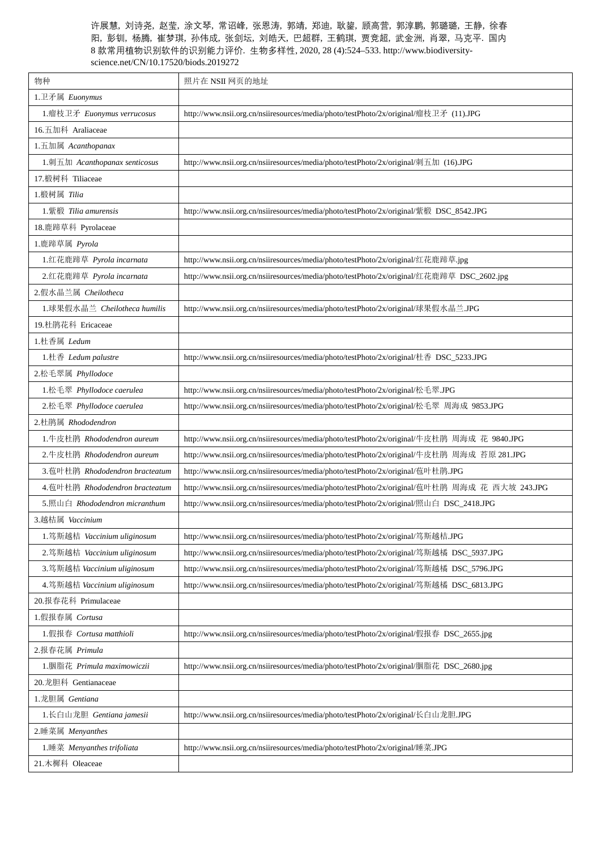| 物种                               | 照片在 NSII 网页的地址                                                                                |
|----------------------------------|-----------------------------------------------------------------------------------------------|
| 1.卫矛属 Euonymus                   |                                                                                               |
| 1.瘤枝卫矛 Euonymus verrucosus       | http://www.nsii.org.cn/nsiiresources/media/photo/testPhoto/2x/original/瘤枝卫矛 (11).JPG          |
| 16.五加科 Araliaceae                |                                                                                               |
| 1.五加属 Acanthopanax               |                                                                                               |
| 1. 刺五加 Acanthopanax senticosus   | http://www.nsii.org.cn/nsiiresources/media/photo/testPhoto/2x/original/刺五加 (16).JPG           |
| 17.椴树科 Tiliaceae                 |                                                                                               |
| 1.椴树属 Tilia                      |                                                                                               |
| 1. 紫椴 Tilia amurensis            | http://www.nsii.org.cn/nsiiresources/media/photo/testPhoto/2x/original/紫椴 DSC_8542.JPG        |
| 18.鹿蹄草科 Pyrolaceae               |                                                                                               |
| 1.鹿蹄草属 Pyrola                    |                                                                                               |
| 1.红花鹿蹄草 Pyrola incarnata         | http://www.nsii.org.cn/nsiiresources/media/photo/testPhoto/2x/original/红花鹿蹄草.jpg              |
| 2.红花鹿蹄草 Pyrola incarnata         | http://www.nsii.org.cn/nsiiresources/media/photo/testPhoto/2x/original/红花鹿蹄草 DSC_2602.jpg     |
| 2.假水晶兰属 Cheilotheca              |                                                                                               |
| 1.球果假水晶兰 Cheilotheca humilis     | http://www.nsii.org.cn/nsiiresources/media/photo/testPhoto/2x/original/球果假水晶兰.JPG             |
| 19.杜鹃花科 Ericaceae                |                                                                                               |
| 1.杜香属 Ledum                      |                                                                                               |
| 1.杜香 Ledum palustre              | http://www.nsii.org.cn/nsiiresources/media/photo/testPhoto/2x/original/杜香 DSC_5233.JPG        |
| 2.松毛翠属 Phyllodoce                |                                                                                               |
| 1.松毛翠 Phyllodoce caerulea        | http://www.nsii.org.cn/nsiiresources/media/photo/testPhoto/2x/original/松毛翠.JPG                |
| 2.松毛翠 Phyllodoce caerulea        | http://www.nsii.org.cn/nsiiresources/media/photo/testPhoto/2x/original/松毛翠 周海成 9853.JPG       |
| 2.杜鹃属 Rhododendron               |                                                                                               |
| 1.牛皮杜鹃 Rhododendron aureum       | http://www.nsii.org.cn/nsiiresources/media/photo/testPhoto/2x/original/牛皮杜鹃 周海成 花 9840.JPG    |
| 2.牛皮杜鹃 Rhododendron aureum       | http://www.nsii.org.cn/nsiiresources/media/photo/testPhoto/2x/original/牛皮杜鹃 周海成 苔原 281.JPG    |
| 3.苞叶杜鹃 Rhododendron bracteatum   | http://www.nsii.org.cn/nsiiresources/media/photo/testPhoto/2x/original/苞叶杜鹃.JPG               |
| 4.苞叶杜鹃 Rhododendron bracteatum   | http://www.nsii.org.cn/nsiiresources/media/photo/testPhoto/2x/original/苞叶杜鹃 周海成 花 西大坡 243.JPG |
| $5.$ 照山白 Rhododendron micranthum | http://www.nsii.org.cn/nsiiresources/media/photo/testPhoto/2x/original/照山白 DSC_2418.JPG       |
| 3.越桔属 Vaccinium                  |                                                                                               |
| 1.笃斯越桔 Vaccinium uliginosum      | http://www.nsii.org.cn/nsiiresources/media/photo/testPhoto/2x/original/笃斯越桔.JPG               |
| 2.笃斯越桔 Vaccinium uliginosum      | http://www.nsii.org.cn/nsiiresources/media/photo/testPhoto/2x/original/笃斯越橘 DSC_5937.JPG      |
| 3.笃斯越桔 Vaccinium uliginosum      | http://www.nsii.org.cn/nsiiresources/media/photo/testPhoto/2x/original/笃斯越橘 DSC_5796.JPG      |
| 4.笃斯越桔 Vaccinium uliginosum      | http://www.nsii.org.cn/nsiiresources/media/photo/testPhoto/2x/original/笃斯越橘 DSC_6813.JPG      |
| 20.报春花科 Primulaceae              |                                                                                               |
| 1.假报春属 Cortusa                   |                                                                                               |
| 1.假报春 Cortusa matthioli          | http://www.nsii.org.cn/nsiiresources/media/photo/testPhoto/2x/original/假报春 DSC_2655.jpg       |
| 2.报春花属 Primula                   |                                                                                               |
| 1.胭脂花 Primula maximowiczii       | http://www.nsii.org.cn/nsiiresources/media/photo/testPhoto/2x/original/胭脂花 DSC_2680.jpg       |
| 20.龙胆科 Gentianaceae              |                                                                                               |
| 1. 龙胆属 Gentiana                  |                                                                                               |
| 1.长白山龙胆 Gentiana jamesii         | http://www.nsii.org.cn/nsiiresources/media/photo/testPhoto/2x/original/长白山龙胆.JPG              |
| 2.睡菜属 Menyanthes                 |                                                                                               |
| 1.睡菜 Menyanthes trifoliata       | http://www.nsii.org.cn/nsiiresources/media/photo/testPhoto/2x/original/睡菜.JPG                 |
| 21.木樨科 Oleaceae                  |                                                                                               |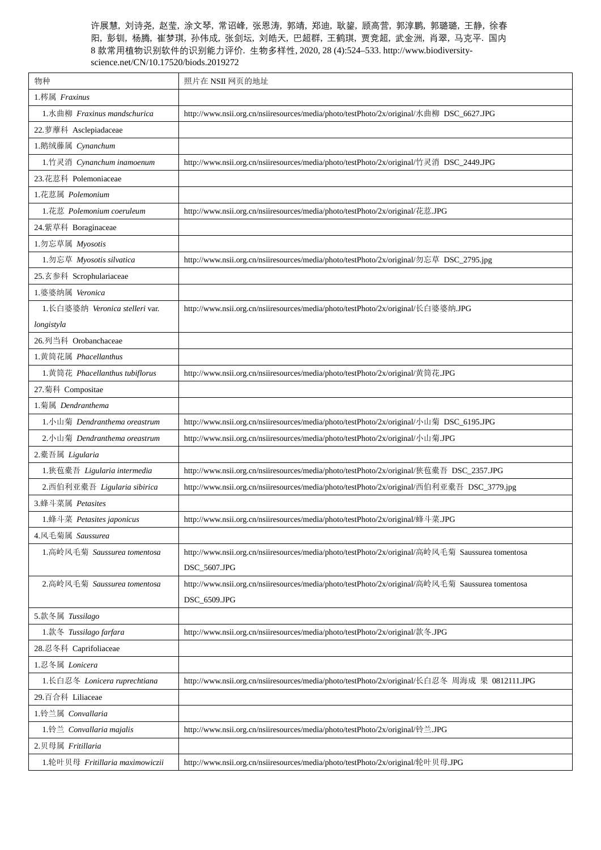| 物种                              | 照片在 NSII 网页的地址                                                                                   |
|---------------------------------|--------------------------------------------------------------------------------------------------|
| 1.梣属 Fraxinus                   |                                                                                                  |
| 1.水曲柳 Fraxinus mandschurica     | http://www.nsii.org.cn/nsiiresources/media/photo/testPhoto/2x/original/水曲柳 DSC_6627.JPG          |
| 22.萝藦科 Asclepiadaceae           |                                                                                                  |
| 1.鹅绒藤属 Cynanchum                |                                                                                                  |
| 1.竹灵消 Cynanchum inamoenum       | http://www.nsii.org.cn/nsiiresources/media/photo/testPhoto/2x/original/竹灵消 DSC_2449.JPG          |
| 23.花荵科 Polemoniaceae            |                                                                                                  |
| 1.花荵属 Polemonium                |                                                                                                  |
| 1.花荵 Polemonium coeruleum       | http://www.nsii.org.cn/nsiiresources/media/photo/testPhoto/2x/original/花荵.JPG                    |
| 24.紫草科 Boraginaceae             |                                                                                                  |
| 1.勿忘草属 Myosotis                 |                                                                                                  |
| 1.勿忘草 Myosotis silvatica        | http://www.nsii.org.cn/nsiiresources/media/photo/testPhoto/2x/original/勿忘草 DSC_2795.jpg          |
| 25.玄参科 Scrophulariaceae         |                                                                                                  |
| 1.婆婆纳属 Veronica                 |                                                                                                  |
| 1.长白婆婆纳 Veronica stelleri var.  | http://www.nsii.org.cn/nsiiresources/media/photo/testPhoto/2x/original/长白婆婆纳.JPG                 |
| longistyla                      |                                                                                                  |
| 26.列当科 Orobanchaceae            |                                                                                                  |
| 1.黄筒花属 Phacellanthus            |                                                                                                  |
| 1.黄筒花 Phacellanthus tubiflorus  | http://www.nsii.org.cn/nsiiresources/media/photo/testPhoto/2x/original/黄筒花.JPG                   |
| 27.菊科 Compositae                |                                                                                                  |
| 1.菊属 Dendranthema               |                                                                                                  |
| 1.小山菊 Dendranthema oreastrum    | http://www.nsii.org.cn/nsiiresources/media/photo/testPhoto/2x/original/小山菊 DSC_6195.JPG          |
| 2.小山菊 Dendranthema oreastrum    | http://www.nsii.org.cn/nsiiresources/media/photo/testPhoto/2x/original/小山菊.JPG                   |
| 2.橐吾属 Ligularia                 |                                                                                                  |
| 1.狭苞橐吾 Ligularia intermedia     | http://www.nsii.org.cn/nsiiresources/media/photo/testPhoto/2x/original/狭苞橐吾 DSC_2357.JPG         |
| 2.西伯利亚橐吾 Ligularia sibirica     | http://www.nsii.org.cn/nsiiresources/media/photo/testPhoto/2x/original/西伯利亚橐吾 DSC_3779.jpg       |
| 3.蜂斗菜属 Petasites                |                                                                                                  |
| 1.蜂斗菜 Petasites japonicus       | http://www.nsii.org.cn/nsiiresources/media/photo/testPhoto/2x/original/蜂斗菜.JPG                   |
| 4.风毛菊属 Saussurea                |                                                                                                  |
| 1.高岭风毛菊 Saussurea tomentosa     | http://www.nsii.org.cn/nsiiresources/media/photo/testPhoto/2x/original/高岭风毛菊 Saussurea tomentosa |
|                                 | DSC_5607.JPG                                                                                     |
| 2. 高岭风毛菊 Saussurea tomentosa    | http://www.nsii.org.cn/nsiiresources/media/photo/testPhoto/2x/original/高岭风毛菊 Saussurea tomentosa |
|                                 | DSC_6509.JPG                                                                                     |
| 5.款冬属 Tussilago                 |                                                                                                  |
| 1.款冬 Tussilago farfara          | http://www.nsii.org.cn/nsiiresources/media/photo/testPhoto/2x/original/款冬.JPG                    |
| 28.忍冬科 Caprifoliaceae           |                                                                                                  |
| 1.忍冬属 Lonicera                  |                                                                                                  |
| 1.长白忍冬 Lonicera ruprechtiana    | http://www.nsii.org.cn/nsiiresources/media/photo/testPhoto/2x/original/长白忍冬 周海成 果 0812111.JPG    |
| 29.百合科 Liliaceae                |                                                                                                  |
| 1.铃兰属 Convallaria               |                                                                                                  |
| 1.铃兰 Convallaria majalis        | http://www.nsii.org.cn/nsiiresources/media/photo/testPhoto/2x/original/铃兰.JPG                    |
| 2.贝母属 Fritillaria               |                                                                                                  |
| 1.轮叶贝母 Fritillaria maximowiczii | http://www.nsii.org.cn/nsiiresources/media/photo/testPhoto/2x/original/轮叶贝母.JPG                  |